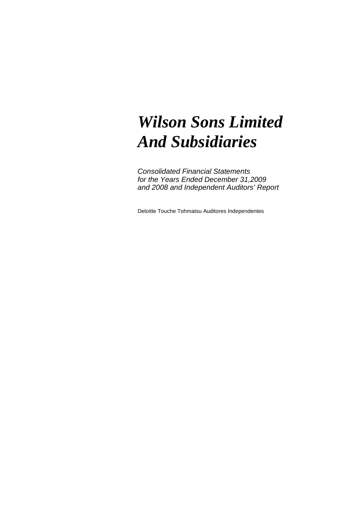# *Wilson Sons Limited And Subsidiaries*

Consolidated Financial Statements for the Years Ended December 31,2009 and 2008 and Independent Auditors' Report

Deloitte Touche Tohmatsu Auditores Independentes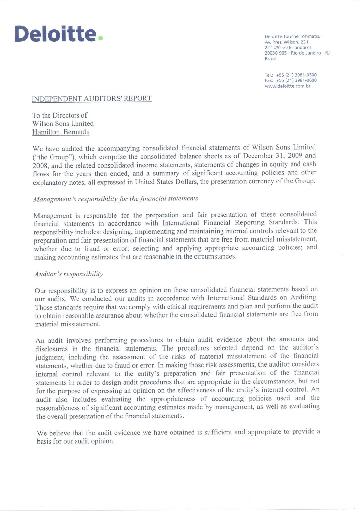

Deloitte Touche Tohmatsu Av. Pres. Wilson, 231 22°, 25° e 26° andares 20030-905 - Rio de Janeiro - RJ **Brasil** 

Tel.: +55 (21) 3981-0500 Fax: +55 (21) 3981-0600 www.deloitte.com.br

#### **INDEPENDENT AUDITORS' REPORT**

To the Directors of Wilson Sons Limited Hamilton, Bermuda

We have audited the accompanying consolidated financial statements of Wilson Sons Limited ("the Group"), which comprise the consolidated balance sheets as of December 31, 2009 and 2008, and the related consolidated income statements, statements of changes in equity and cash flows for the years then ended, and a summary of significant accounting policies and other explanatory notes, all expressed in United States Dollars, the presentation currency of the Group.

#### Management's responsibility for the financial statements

Management is responsible for the preparation and fair presentation of these consolidated financial statements in accordance with International Financial Reporting Standards. This responsibility includes: designing, implementing and maintaining internal controls relevant to the preparation and fair presentation of financial statements that are free from material misstatement, whether due to fraud or error; selecting and applying appropriate accounting policies; and making accounting estimates that are reasonable in the circumstances.

## Auditor's responsibility

Our responsibility is to express an opinion on these consolidated financial statements based on our audits. We conducted our audits in accordance with International Standards on Auditing. Those standards require that we comply with ethical requirements and plan and perform the audit to obtain reasonable assurance about whether the consolidated financial statements are free from material misstatement.

An audit involves performing procedures to obtain audit evidence about the amounts and disclosures in the financial statements. The procedures selected depend on the auditor's judgment, including the assessment of the risks of material misstatement of the financial statements, whether due to fraud or error. In making those risk assessments, the auditor considers internal control relevant to the entity's preparation and fair presentation of the financial statements in order to design audit procedures that are appropriate in the circumstances, but not for the purpose of expressing an opinion on the effectiveness of the entity's internal control. An audit also includes evaluating the appropriateness of accounting policies used and the reasonableness of significant accounting estimates made by management, as well as evaluating the overall presentation of the financial statements.

We believe that the audit evidence we have obtained is sufficient and appropriate to provide a basis for our audit opinion.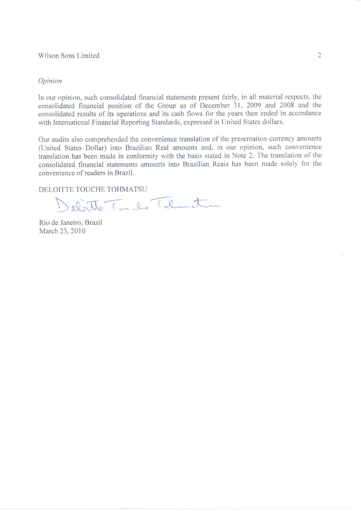#### Wilson Sons Limited

#### Opinion

In our opinion, such consolidated financial statements present fairly, in all material respects, the consolidated financial position of the Group as of December 31, 2009 and 2008 and the consolidated results of its operations and its cash flows for the years then ended in accordance with International Financial Reporting Standards, expressed in United States dollars.

Our audits also comprehended the convenience translation of the presentation currency amounts (United States Dollar) into Brazilian Real amounts and, in our opinion, such convenience translation has been made in conformity with the basis stated in Note 2. The translation of the consolidated financial statements amounts into Brazilian Reais has been made solely for the convenience of readers in Brazil.

DELOITTE TOUCHE TOHMATSU

Delatte Inde That

Rio de Janeiro, Brazil March 23, 2010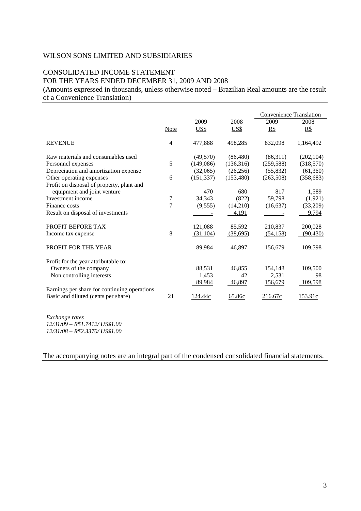# CONSOLIDATED INCOME STATEMENT FOR THE YEARS ENDED DECEMBER 31, 2009 AND 2008

(Amounts expressed in thousands, unless otherwise noted – Brazilian Real amounts are the result of a Convenience Translation)

|                                              |             |            |            | <b>Convenience Translation</b> |                |
|----------------------------------------------|-------------|------------|------------|--------------------------------|----------------|
|                                              |             | 2009       | 2008       | 2009                           | 2008           |
|                                              | <b>Note</b> | US\$       | US\$       | R\$                            | R\$            |
| <b>REVENUE</b>                               | 4           | 477,888    | 498,285    | 832,098                        | 1,164,492      |
| Raw materials and consumables used           |             | (49,570)   | (86, 480)  | (86,311)                       | (202, 104)     |
| Personnel expenses                           | 5           | (149,086)  | (136,316)  | (259, 588)                     | (318,570)      |
| Depreciation and amortization expense        |             | (32,065)   | (26, 256)  | (55, 832)                      | (61,360)       |
| Other operating expenses                     | 6           | (151, 337) | (153, 480) | (263,508)                      | (358, 683)     |
| Profit on disposal of property, plant and    |             |            |            |                                |                |
| equipment and joint venture                  |             | 470        | 680        | 817                            | 1,589          |
| Investment income                            | 7           | 34,343     | (822)      | 59,798                         | (1,921)        |
| Finance costs                                | 7           | (9,555)    | (14,210)   | (16, 637)                      | (33,209)       |
| Result on disposal of investments            |             |            | 4,191      |                                | 9,794          |
| PROFIT BEFORE TAX                            |             | 121,088    | 85,592     | 210,837                        | 200,028        |
| Income tax expense                           | 8           | (31,104)   | (38,695)   | (54, 158)                      | (90, 430)      |
|                                              |             |            |            |                                |                |
| PROFIT FOR THE YEAR                          |             | 89,984     | 46,897     | 156,679                        | 109,598        |
| Profit for the year attributable to:         |             |            |            |                                |                |
| Owners of the company                        |             | 88,531     | 46,855     | 154,148                        | 109,500        |
| Non controlling interests                    |             | 1,453      | 42         | 2,531                          | 98             |
|                                              |             | 89,984     | 46,897     | 156,679                        | 109,598        |
| Earnings per share for continuing operations |             |            |            |                                |                |
| Basic and diluted (cents per share)          | 21          | 124.44c    | 65.86c     | 216.67c                        | <u>153.91c</u> |
|                                              |             |            |            |                                |                |
| Exchange rates                               |             |            |            |                                |                |

*12/31/09 – R\$1.7412/ US\$1.00 12/31/08 – R\$2.3370/ US\$1.00* 

The accompanying notes are an integral part of the condensed consolidated financial statements.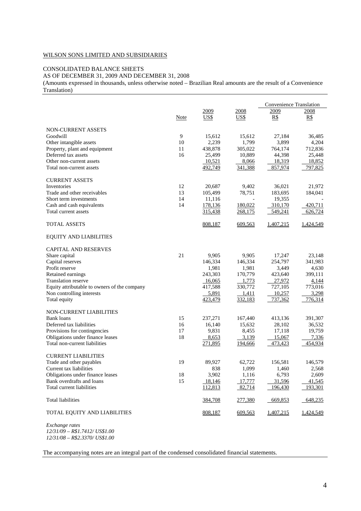#### CONSOLIDATED BALANCE SHEETS

AS OF DECEMBER 31, 2009 AND DECEMBER 31, 2008

(Amounts expressed in thousands, unless otherwise noted – Brazilian Real amounts are the result of a Convenience Translation)

|                                              |      |                |         | Convenience Translation |           |
|----------------------------------------------|------|----------------|---------|-------------------------|-----------|
|                                              |      | 2009           | 2008    | 2009                    | 2008      |
|                                              | Note | US\$           | US\$    | R\$                     | R\$       |
| <b>NON-CURRENT ASSETS</b>                    |      |                |         |                         |           |
| Goodwill                                     | 9    | 15,612         | 15,612  | 27,184                  | 36,485    |
| Other intangible assets                      | 10   | 2,239          | 1,799   | 3,899                   | 4,204     |
| Property, plant and equipment                | 11   | 438,878        | 305,022 | 764,174                 | 712,836   |
| Deferred tax assets                          | 16   | 25,499         | 10,889  | 44,398                  | 25,448    |
| Other non-current assets                     |      | 10,521         | 8,066   | 18,319                  | 18,852    |
| Total non-current assets                     |      | 492,749        | 341,388 | 857,974                 | 797,825   |
|                                              |      |                |         |                         |           |
| <b>CURRENT ASSETS</b>                        |      |                |         |                         |           |
| Inventories                                  | 12   | 20,687         | 9,402   | 36,021                  | 21,972    |
| Trade and other receivables                  | 13   | 105,499        | 78,751  | 183,695                 | 184,041   |
| Short term investments                       | 14   | 11,116         |         | 19,355                  |           |
| Cash and cash equivalents                    | 14   | 178,136        | 180,022 | 310,170                 | 420,711   |
| Total current assets                         |      | 315,438        | 268,175 | 549,241                 | 626,724   |
| <b>TOTAL ASSETS</b>                          |      | 808,187        | 609,563 | 1,407,215               | 1,424,549 |
| <b>EQUITY AND LIABILITIES</b>                |      |                |         |                         |           |
| <b>CAPITAL AND RESERVES</b>                  |      |                |         |                         |           |
| Share capital                                | 21   | 9,905          | 9,905   | 17,247                  | 23,148    |
| Capital reserves                             |      | 146,334        | 146,334 | 254,797                 | 341,983   |
| Profit reserve                               |      | 1,981          | 1,981   | 3,449                   | 4,630     |
| Retained earnings                            |      | 243,303        | 170,779 | 423,640                 | 399,111   |
| <b>Translation reserve</b>                   |      |                | 1,773   | 27,972                  |           |
|                                              |      | 16,065         | 330,772 |                         | 4,144     |
| Equity attributable to owners of the company |      | 417,588        |         | 727,105                 | 773,016   |
| Non controlling interests                    |      | 5,891          | 1,411   | 10,257                  | 3,298     |
| Total equity                                 |      | <u>423,479</u> | 332,183 | 737,362                 | 776,314   |
| NON-CURRENT LIABILITIES                      |      |                |         |                         |           |
| <b>Bank loans</b>                            | 15   | 237,271        | 167,440 | 413,136                 | 391,307   |
| Deferred tax liabilities                     | 16   | 16,140         | 15,632  | 28,102                  | 36,532    |
| Provisions for contingencies                 | 17   | 9,831          | 8,455   | 17,118                  | 19,759    |
| Obligations under finance leases             | 18   | 8,653          | 3,139   | 15,067                  | 7,336     |
| Total non-current liabilities                |      | <u>271,895</u> | 194,666 | 473,423                 | 454,934   |
|                                              |      |                |         |                         |           |
| <b>CURRENT LIABILITIES</b>                   |      |                |         |                         |           |
| Trade and other payables                     | 19   | 89,927         | 62,722  | 156,581                 | 146,579   |
| Current tax liabilities                      |      | 838            | 1,099   | 1,460                   | 2,568     |
| Obligations under finance leases             | 18   | 3,902          | 1,116   | 6,793                   | 2,609     |
| Bank overdrafts and loans                    | 15   | 18,146         | 17,777  | 31,596                  | 41,545    |
| Total current liabilities                    |      | 112,813        | 82,714  | 196,430                 | 193,301   |
| <b>Total liabilities</b>                     |      | 384,708        | 277,380 | 669,853                 | 648,235   |
| TOTAL EQUITY AND LIABILITIES                 |      | 808,187        | 609,563 | 1,407,215               | 1,424,549 |
| Exchange rates                               |      |                |         |                         |           |

 $Exchange$  rates *12/31/09 – R\$1.7412/ US\$1.00 12/31/08 – R\$2.3370/ US\$1.00* 

The accompanying notes are an integral part of the condensed consolidated financial statements.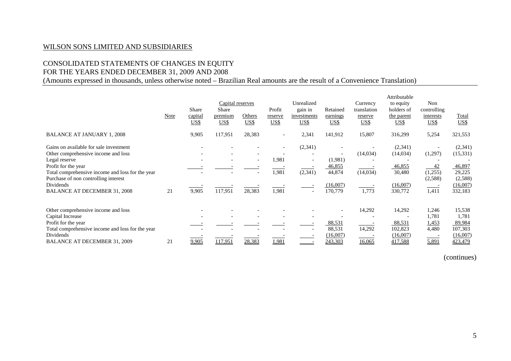# CONSOLIDATED STATEMENTS OF CHANGES IN EQUITY

# FOR THE YEARS ENDED DECEMBER 31, 2009 AND 2008

(Amounts expressed in thousands, unless otherwise noted – Brazilian Real amounts are the result of a Convenience Translation)

|                                                                                                                                                                                                                                                                       | Note | Share<br>capital<br><u>US\$</u> | Capital reserves<br>Share<br>premium<br><b>US\$</b> | Others<br>US\$                     | Profit<br>reserve<br>US\$                           | Unrealized<br>gain in<br>investments<br><u>US\$</u> | Retained<br>earnings<br><u>US\$</u>                | Currency<br>translation<br>reserve<br>US\$ | Attributable<br>to equity<br>holders of<br>the parent<br>US\$  | <b>Non</b><br>controlling<br>interests<br>US\$          | <b>Total</b><br>US\$                                                      |
|-----------------------------------------------------------------------------------------------------------------------------------------------------------------------------------------------------------------------------------------------------------------------|------|---------------------------------|-----------------------------------------------------|------------------------------------|-----------------------------------------------------|-----------------------------------------------------|----------------------------------------------------|--------------------------------------------|----------------------------------------------------------------|---------------------------------------------------------|---------------------------------------------------------------------------|
| <b>BALANCE AT JANUARY 1, 2008</b>                                                                                                                                                                                                                                     |      | 9,905                           | 117,951                                             | 28,383                             | $\overline{\phantom{a}}$                            | 2,341                                               | 141,912                                            | 15,807                                     | 316,299                                                        | 5,254                                                   | 321,553                                                                   |
| Gains on available for sale investment<br>Other comprehensive income and loss<br>Legal reserve<br>Profit for the year<br>Total comprehensive income and loss for the year<br>Purchase of non controlling interest<br>Dividends<br><b>BALANCE AT DECEMBER 31, 2008</b> | 21   | 9,905                           | 117,951                                             | $\overline{\phantom{a}}$<br>28,383 | $\overline{\phantom{a}}$<br>1,981<br>1,981<br>1,981 | (2,341)<br>$\overline{\phantom{a}}$<br>(2, 341)     | (1,981)<br>46,855<br>44,874<br>(16,007)<br>170,779 | (14,034)<br>(14,034)<br>1,773              | (2,341)<br>(14,034)<br>46,855<br>30,480<br>(16,007)<br>330,772 | (1,297)<br>42<br>(1,255)<br>(2,588)<br>1,411            | (2,341)<br>(15,331)<br>46,897<br>29,225<br>(2,588)<br>(16,007)<br>332,183 |
| Other comprehensive income and loss<br>Capital Increase<br>Profit for the year<br>Total comprehensive income and loss for the year<br>Dividends<br><b>BALANCE AT DECEMBER 31, 2009</b>                                                                                | 21   | 9,905                           | 117,951                                             | 28,383                             | 1,981                                               |                                                     | 88,531<br>88,531<br>(16,007)<br>243,303            | 14,292<br>14,292<br>16,065                 | 14,292<br>88,531<br>102,823<br>(16,007)<br>417,588             | 1,246<br>1,781<br>1,453<br>4,480<br>$\sim$ $-$<br>5,891 | 15,538<br>1,781<br>89,984<br>107,303<br>(16,007)<br>423,479               |

(continues)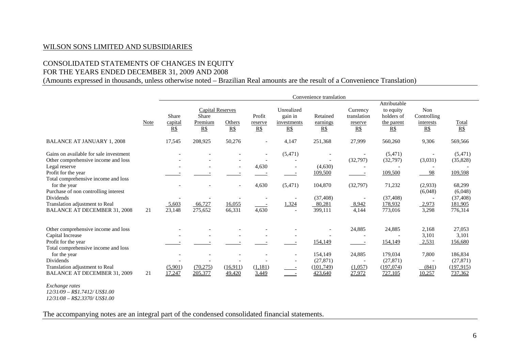# CONSOLIDATED STATEMENTS OF CHANGES IN EQUITY

# FOR THE YEARS ENDED DECEMBER 31, 2009 AND 2008

(Amounts expressed in thousands, unless otherwise noted – Brazilian Real amounts are the result of a Convenience Translation)

|                                                                                                                                                                                                                                                                                                                   |      | Convenience translation |                                                    |                    |                                                     |                                             |                                                                 |                                           |                                                                             |                                                                                 |                                                                                        |
|-------------------------------------------------------------------------------------------------------------------------------------------------------------------------------------------------------------------------------------------------------------------------------------------------------------------|------|-------------------------|----------------------------------------------------|--------------------|-----------------------------------------------------|---------------------------------------------|-----------------------------------------------------------------|-------------------------------------------|-----------------------------------------------------------------------------|---------------------------------------------------------------------------------|----------------------------------------------------------------------------------------|
|                                                                                                                                                                                                                                                                                                                   | Note | Share<br>capital<br>R\$ | <b>Capital Reserves</b><br>Share<br>Premium<br>R\$ | Others<br>$R\$     | Profit<br>reserve<br>R\$                            | Unrealized<br>gain in<br>investments<br>R\$ | Retained<br>earnings<br>R\$                                     | Currency<br>translation<br>reserve<br>R\$ | Attributable<br>to equity<br>holders of<br>the parent<br>$R\$               | Non<br>Controlling<br>interests<br>$R\$                                         | $rac{\text{Total}}{\text{RS}}$                                                         |
| <b>BALANCE AT JANUARY 1, 2008</b>                                                                                                                                                                                                                                                                                 |      | 17,545                  | 208,925                                            | 50,276             | $\overline{\phantom{a}}$                            | 4,147                                       | 251,368                                                         | 27,999                                    | 560,260                                                                     | 9,306                                                                           | 569,566                                                                                |
| Gains on available for sale investment<br>Other comprehensive income and loss<br>Legal reserve<br>Profit for the year<br>Total comprehensive income and loss<br>for the year<br>Purchase of non controlling interest<br><b>Dividends</b><br>Translation adjustment to Real<br><b>BALANCE AT DECEMBER 31, 2008</b> | 21   | 5,603<br>23,148         | 66,727<br>275,652                                  | 16,055<br>66,331   | $\overline{\phantom{a}}$<br>4,630<br>4,630<br>4,630 | (5, 471)<br>(5,471)<br>1,324                | (4,630)<br>109,500<br>104,870<br>(37, 408)<br>80,281<br>399,111 | (32,797)<br>(32,797)<br>8,942<br>4,144    | (5,471)<br>(32,797)<br>109,500<br>71,232<br>(37, 408)<br>178,932<br>773,016 | (3,031)<br>98<br>(2,933)<br>(6,048)<br>2,973<br>3,298                           | (5,471)<br>(35,828)<br>109,598<br>68,299<br>(6,048)<br>(37, 408)<br>181,905<br>776,314 |
| Other comprehensive income and loss<br>Capital Increase<br>Profit for the year<br>Total comprehensive income and loss<br>for the year<br>Dividends<br>Translation adjustment to Real<br>BALANCE AT DECEMBER 31, 2009<br>Exchange rates                                                                            | 21   | (5,901)<br>17,247       | (70, 275)<br>205,377                               | (16,911)<br>49,420 | (1,181)<br>3,449                                    |                                             | 154,149<br>154,149<br>(27, 871)<br>(101,749)<br>423,640         | 24,885<br>24,885<br>(1,057)<br>27,972     | 24,885<br>154,149<br>179,034<br>(27, 871)<br>(197,074)<br>727,105           | 2,168<br>3,101<br>2,531<br>7,800<br>$\overline{\phantom{a}}$<br>(841)<br>10,257 | 27,053<br>3,101<br>156,680<br>186,834<br>(27, 871)<br>(197, 915)<br>737,362            |

*Exchange rates 12/31/09 – R\$1.7412/ US\$1.00 12/31/08 – R\$2.3370/ US\$1.00* 

The accompanying notes are an integral part of the condensed consolidated financial statements.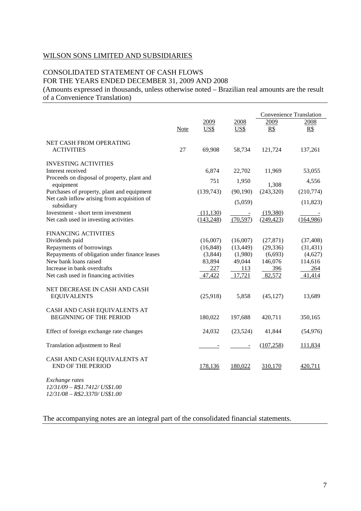# CONSOLIDATED STATEMENT OF CASH FLOWS FOR THE YEARS ENDED DECEMBER 31, 2009 AND 2008

(Amounts expressed in thousands, unless otherwise noted – Brazilian real amounts are the result of a Convenience Translation)

|                                                                                   |             |                         |                                       | <b>Convenience Translation</b> |                      |  |
|-----------------------------------------------------------------------------------|-------------|-------------------------|---------------------------------------|--------------------------------|----------------------|--|
|                                                                                   | <b>Note</b> | 2009<br>US\$            | 2008<br>US\$                          | 2009<br>$R\$                   | 2008<br>R\$          |  |
| NET CASH FROM OPERATING<br><b>ACTIVITIES</b>                                      | 27          | 69,908                  | 58,734                                | 121,724                        | 137,261              |  |
| <b>INVESTING ACTIVITIES</b><br>Interest received                                  |             | 6,874                   | 22,702                                | 11,969                         | 53,055               |  |
| Proceeds on disposal of property, plant and<br>equipment                          |             | 751                     | 1,950                                 | 1,308                          | 4,556                |  |
| Purchases of property, plant and equipment                                        |             | (139,743)               | (90, 190)                             | (243, 320)                     | (210,774)            |  |
| Net cash inflow arising from acquisition of<br>subsidiary                         |             |                         | (5,059)                               |                                | (11, 823)            |  |
| Investment - short term investment<br>Net cash used in investing activities       |             | (11, 130)<br>(143, 248) | $\overline{\phantom{a}}$<br>(70, 597) | (19,380)<br>(249, 423)         | (164,986)            |  |
| <b>FINANCING ACTIVITIES</b>                                                       |             |                         |                                       |                                |                      |  |
| Dividends paid                                                                    |             | (16,007)                | (16,007)                              | (27, 871)                      | (37, 408)            |  |
| Repayments of borrowings<br>Repayments of obligation under finance leases         |             | (16, 848)<br>(3,844)    | (13, 449)<br>(1,980)                  | (29, 336)<br>(6,693)           | (31, 431)<br>(4,627) |  |
| New bank loans raised                                                             |             | 83,894                  | 49,044                                | 146,076                        | 114,616              |  |
| Increase in bank overdrafts                                                       |             | 227                     | 113                                   | 396                            | 264                  |  |
| Net cash used in financing activities                                             |             | 47,422                  | 17,721                                | 82,572                         | 41,414               |  |
| NET DECREASE IN CASH AND CASH<br><b>EQUIVALENTS</b>                               |             | (25,918)                | 5,858                                 | (45, 127)                      | 13,689               |  |
| CASH AND CASH EQUIVALENTS AT<br><b>BEGINNING OF THE PERIOD</b>                    |             | 180,022                 | 197,688                               | 420,711                        | 350,165              |  |
| Effect of foreign exchange rate changes                                           |             | 24,032                  | (23,524)                              | 41,844                         | (54, 976)            |  |
| Translation adjustment to Real                                                    |             |                         | $\overline{\phantom{a}}$              | (107, 258)                     | 111,834              |  |
| CASH AND CASH EQUIVALENTS AT<br><b>END OF THE PERIOD</b>                          |             | 178,136                 | 180,022                               | 310,170                        | 420,711              |  |
| Exchange rates<br>$12/31/09 - R$1.7412/US$1.00$<br>12/31/08 - R\$2.3370/ US\$1.00 |             |                         |                                       |                                |                      |  |

The accompanying notes are an integral part of the consolidated financial statements.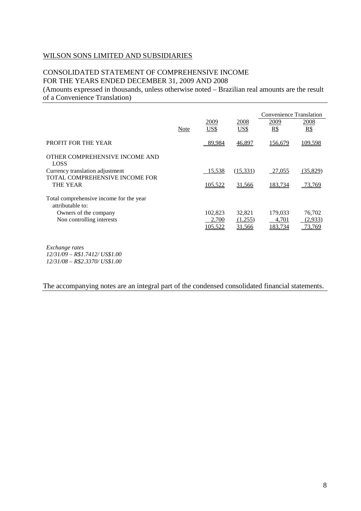# CONSOLIDATED STATEMENT OF COMPREHENSIVE INCOME FOR THE YEARS ENDED DECEMBER 31, 2009 AND 2008

(Amounts expressed in thousands, unless otherwise noted – Brazilian real amounts are the result of a Convenience Translation)

|                                                             |      |         |          | Convenience Translation |          |
|-------------------------------------------------------------|------|---------|----------|-------------------------|----------|
|                                                             |      | 2009    | 2008     | 2009                    | 2008     |
|                                                             | Note | US\$    | US\$     | R\$                     | R\$      |
| PROFIT FOR THE YEAR                                         |      | 89,984  | 46,897   | 156,679                 | 109,598  |
| OTHER COMPREHENSIVE INCOME AND<br><b>LOSS</b>               |      |         |          |                         |          |
| Currency translation adjustment                             |      | 15,538  | (15,331) | 27,055                  | (35,829) |
| TOTAL COMPREHENSIVE INCOME FOR                              |      |         |          |                         |          |
| THE YEAR                                                    |      | 105,522 | 31,566   | 183,734                 | 73,769   |
| Total comprehensive income for the year<br>attributable to: |      |         |          |                         |          |
| Owners of the company                                       |      | 102,823 | 32,821   | 179,033                 | 76,702   |
| Non controlling interests                                   |      | 2,700   | (1,255)  | 4,701                   | (2,933)  |
|                                                             |      | 105.522 | 31,566   | 183.734                 | 73.769   |
|                                                             |      |         |          |                         |          |

*Exchange rates 12/31/09 – R\$1.7412/ US\$1.00 12/31/08 – R\$2.3370/ US\$1.00* 

## The accompanying notes are an integral part of the condensed consolidated financial statements.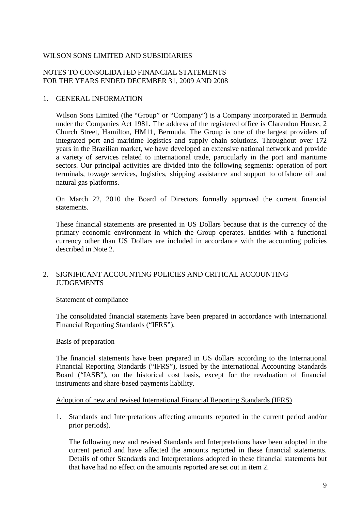# NOTES TO CONSOLIDATED FINANCIAL STATEMENTS FOR THE YEARS ENDED DECEMBER 31, 2009 AND 2008

# 1. GENERAL INFORMATION

Wilson Sons Limited (the "Group" or "Company") is a Company incorporated in Bermuda under the Companies Act 1981. The address of the registered office is Clarendon House, 2 Church Street, Hamilton, HM11, Bermuda. The Group is one of the largest providers of integrated port and maritime logistics and supply chain solutions. Throughout over 172 years in the Brazilian market, we have developed an extensive national network and provide a variety of services related to international trade, particularly in the port and maritime sectors. Our principal activities are divided into the following segments: operation of port terminals, towage services, logistics, shipping assistance and support to offshore oil and natural gas platforms.

On March 22, 2010 the Board of Directors formally approved the current financial statements.

These financial statements are presented in US Dollars because that is the currency of the primary economic environment in which the Group operates. Entities with a functional currency other than US Dollars are included in accordance with the accounting policies described in Note 2.

# 2. SIGNIFICANT ACCOUNTING POLICIES AND CRITICAL ACCOUNTING JUDGEMENTS

# Statement of compliance

The consolidated financial statements have been prepared in accordance with International Financial Reporting Standards ("IFRS").

# Basis of preparation

The financial statements have been prepared in US dollars according to the International Financial Reporting Standards ("IFRS"), issued by the International Accounting Standards Board ("IASB"), on the historical cost basis, except for the revaluation of financial instruments and share-based payments liability.

# Adoption of new and revised International Financial Reporting Standards (IFRS)

1. Standards and Interpretations affecting amounts reported in the current period and/or prior periods).

The following new and revised Standards and Interpretations have been adopted in the current period and have affected the amounts reported in these financial statements. Details of other Standards and Interpretations adopted in these financial statements but that have had no effect on the amounts reported are set out in item 2.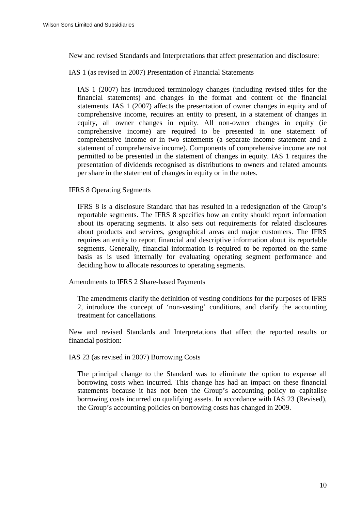New and revised Standards and Interpretations that affect presentation and disclosure:

IAS 1 (as revised in 2007) Presentation of Financial Statements

IAS 1 (2007) has introduced terminology changes (including revised titles for the financial statements) and changes in the format and content of the financial statements. IAS 1 (2007) affects the presentation of owner changes in equity and of comprehensive income, requires an entity to present, in a statement of changes in equity, all owner changes in equity. All non-owner changes in equity (ie comprehensive income) are required to be presented in one statement of comprehensive income or in two statements (a separate income statement and a statement of comprehensive income). Components of comprehensive income are not permitted to be presented in the statement of changes in equity. IAS 1 requires the presentation of dividends recognised as distributions to owners and related amounts per share in the statement of changes in equity or in the notes.

IFRS 8 Operating Segments

IFRS 8 is a disclosure Standard that has resulted in a redesignation of the Group's reportable segments. The IFRS 8 specifies how an entity should report information about its operating segments. It also sets out requirements for related disclosures about products and services, geographical areas and major customers. The IFRS requires an entity to report financial and descriptive information about its reportable segments. Generally, financial information is required to be reported on the same basis as is used internally for evaluating operating segment performance and deciding how to allocate resources to operating segments.

Amendments to IFRS 2 Share-based Payments

The amendments clarify the definition of vesting conditions for the purposes of IFRS 2, introduce the concept of 'non-vesting' conditions, and clarify the accounting treatment for cancellations.

New and revised Standards and Interpretations that affect the reported results or financial position:

IAS 23 (as revised in 2007) Borrowing Costs

The principal change to the Standard was to eliminate the option to expense all borrowing costs when incurred. This change has had an impact on these financial statements because it has not been the Group's accounting policy to capitalise borrowing costs incurred on qualifying assets. In accordance with IAS 23 (Revised), the Group's accounting policies on borrowing costs has changed in 2009.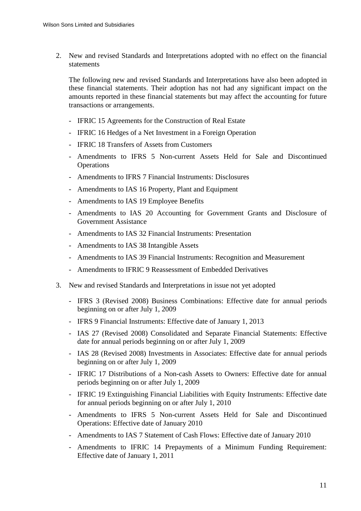2. New and revised Standards and Interpretations adopted with no effect on the financial statements

The following new and revised Standards and Interpretations have also been adopted in these financial statements. Their adoption has not had any significant impact on the amounts reported in these financial statements but may affect the accounting for future transactions or arrangements.

- IFRIC 15 Agreements for the Construction of Real Estate
- IFRIC 16 Hedges of a Net Investment in a Foreign Operation
- IFRIC 18 Transfers of Assets from Customers
- Amendments to IFRS 5 Non-current Assets Held for Sale and Discontinued **Operations**
- Amendments to IFRS 7 Financial Instruments: Disclosures
- Amendments to IAS 16 Property, Plant and Equipment
- Amendments to IAS 19 Employee Benefits
- Amendments to IAS 20 Accounting for Government Grants and Disclosure of Government Assistance
- Amendments to IAS 32 Financial Instruments: Presentation
- Amendments to IAS 38 Intangible Assets
- Amendments to IAS 39 Financial Instruments: Recognition and Measurement
- Amendments to IFRIC 9 Reassessment of Embedded Derivatives
- 3. New and revised Standards and Interpretations in issue not yet adopted
	- IFRS 3 (Revised 2008) Business Combinations: Effective date for annual periods beginning on or after July 1, 2009
	- IFRS 9 Financial Instruments: Effective date of January 1, 2013
	- IAS 27 (Revised 2008) Consolidated and Separate Financial Statements: Effective date for annual periods beginning on or after July 1, 2009
	- IAS 28 (Revised 2008) Investments in Associates: Effective date for annual periods beginning on or after July 1, 2009
	- IFRIC 17 Distributions of a Non-cash Assets to Owners: Effective date for annual periods beginning on or after July 1, 2009
	- IFRIC 19 Extinguishing Financial Liabilities with Equity Instruments: Effective date for annual periods beginning on or after July 1, 2010
	- Amendments to IFRS 5 Non-current Assets Held for Sale and Discontinued Operations: Effective date of January 2010
	- Amendments to IAS 7 Statement of Cash Flows: Effective date of January 2010
	- Amendments to IFRIC 14 Prepayments of a Minimum Funding Requirement: Effective date of January 1, 2011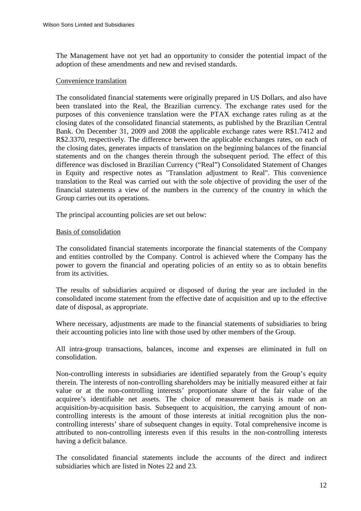The Management have not yet had an opportunity to consider the potential impact of the adoption of these amendments and new and revised standards.

## Convenience translation

The consolidated financial statements were originally prepared in US Dollars, and also have been translated into the Real, the Brazilian currency. The exchange rates used for the purposes of this convenience translation were the PTAX exchange rates ruling as at the closing dates of the consolidated financial statements, as published by the Brazilian Central Bank. On December 31, 2009 and 2008 the applicable exchange rates were R\$1.7412 and R\$2.3370, respectively. The difference between the applicable exchanges rates, on each of the closing dates, generates impacts of translation on the beginning balances of the financial statements and on the changes therein through the subsequent period. The effect of this difference was disclosed in Brazilian Currency ("Real") Consolidated Statement of Changes in Equity and respective notes as "Translation adjustment to Real". This convenience translation to the Real was carried out with the sole objective of providing the user of the financial statements a view of the numbers in the currency of the country in which the Group carries out its operations.

The principal accounting policies are set out below:

## Basis of consolidation

The consolidated financial statements incorporate the financial statements of the Company and entities controlled by the Company. Control is achieved where the Company has the power to govern the financial and operating policies of an entity so as to obtain benefits from its activities.

The results of subsidiaries acquired or disposed of during the year are included in the consolidated income statement from the effective date of acquisition and up to the effective date of disposal, as appropriate.

Where necessary, adjustments are made to the financial statements of subsidiaries to bring their accounting policies into line with those used by other members of the Group.

All intra-group transactions, balances, income and expenses are eliminated in full on consolidation.

Non-controlling interests in subsidiaries are identified separately from the Group's equity therein. The interests of non-controlling shareholders may be initially measured either at fair value or at the non-controlling interests' proportionate share of the fair value of the acquiree's identifiable net assets. The choice of measurement basis is made on an acquisition-by-acquisition basis. Subsequent to acquisition, the carrying amount of noncontrolling interests is the amount of those interests at initial recognition plus the noncontrolling interests' share of subsequent changes in equity. Total comprehensive income is attributed to non-controlling interests even if this results in the non-controlling interests having a deficit balance.

The consolidated financial statements include the accounts of the direct and indirect subsidiaries which are listed in Notes 22 and 23.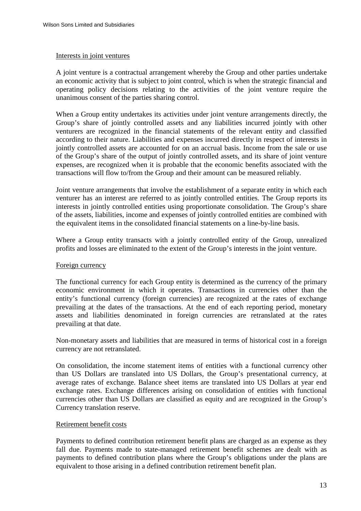#### Interests in joint ventures

A joint venture is a contractual arrangement whereby the Group and other parties undertake an economic activity that is subject to joint control, which is when the strategic financial and operating policy decisions relating to the activities of the joint venture require the unanimous consent of the parties sharing control.

When a Group entity undertakes its activities under joint venture arrangements directly, the Group's share of jointly controlled assets and any liabilities incurred jointly with other venturers are recognized in the financial statements of the relevant entity and classified according to their nature. Liabilities and expenses incurred directly in respect of interests in jointly controlled assets are accounted for on an accrual basis. Income from the sale or use of the Group's share of the output of jointly controlled assets, and its share of joint venture expenses, are recognized when it is probable that the economic benefits associated with the transactions will flow to/from the Group and their amount can be measured reliably.

Joint venture arrangements that involve the establishment of a separate entity in which each venturer has an interest are referred to as jointly controlled entities. The Group reports its interests in jointly controlled entities using proportionate consolidation. The Group's share of the assets, liabilities, income and expenses of jointly controlled entities are combined with the equivalent items in the consolidated financial statements on a line-by-line basis.

Where a Group entity transacts with a jointly controlled entity of the Group, unrealized profits and losses are eliminated to the extent of the Group's interests in the joint venture.

# Foreign currency

The functional currency for each Group entity is determined as the currency of the primary economic environment in which it operates. Transactions in currencies other than the entity's functional currency (foreign currencies) are recognized at the rates of exchange prevailing at the dates of the transactions. At the end of each reporting period, monetary assets and liabilities denominated in foreign currencies are retranslated at the rates prevailing at that date.

Non-monetary assets and liabilities that are measured in terms of historical cost in a foreign currency are not retranslated.

On consolidation, the income statement items of entities with a functional currency other than US Dollars are translated into US Dollars, the Group's presentational currency, at average rates of exchange. Balance sheet items are translated into US Dollars at year end exchange rates. Exchange differences arising on consolidation of entities with functional currencies other than US Dollars are classified as equity and are recognized in the Group's Currency translation reserve.

# Retirement benefit costs

Payments to defined contribution retirement benefit plans are charged as an expense as they fall due. Payments made to state-managed retirement benefit schemes are dealt with as payments to defined contribution plans where the Group's obligations under the plans are equivalent to those arising in a defined contribution retirement benefit plan.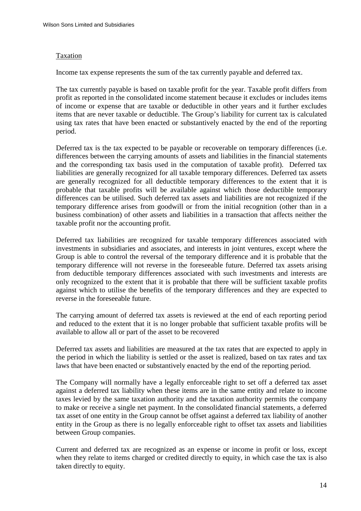## **Taxation**

Income tax expense represents the sum of the tax currently payable and deferred tax.

The tax currently payable is based on taxable profit for the year. Taxable profit differs from profit as reported in the consolidated income statement because it excludes or includes items of income or expense that are taxable or deductible in other years and it further excludes items that are never taxable or deductible. The Group's liability for current tax is calculated using tax rates that have been enacted or substantively enacted by the end of the reporting period.

Deferred tax is the tax expected to be payable or recoverable on temporary differences (i.e. differences between the carrying amounts of assets and liabilities in the financial statements and the corresponding tax basis used in the computation of taxable profit). Deferred tax liabilities are generally recognized for all taxable temporary differences. Deferred tax assets are generally recognized for all deductible temporary differences to the extent that it is probable that taxable profits will be available against which those deductible temporary differences can be utilised. Such deferred tax assets and liabilities are not recognized if the temporary difference arises from goodwill or from the initial recognition (other than in a business combination) of other assets and liabilities in a transaction that affects neither the taxable profit nor the accounting profit.

Deferred tax liabilities are recognized for taxable temporary differences associated with investments in subsidiaries and associates, and interests in joint ventures, except where the Group is able to control the reversal of the temporary difference and it is probable that the temporary difference will not reverse in the foreseeable future. Deferred tax assets arising from deductible temporary differences associated with such investments and interests are only recognized to the extent that it is probable that there will be sufficient taxable profits against which to utilise the benefits of the temporary differences and they are expected to reverse in the foreseeable future.

The carrying amount of deferred tax assets is reviewed at the end of each reporting period and reduced to the extent that it is no longer probable that sufficient taxable profits will be available to allow all or part of the asset to be recovered

Deferred tax assets and liabilities are measured at the tax rates that are expected to apply in the period in which the liability is settled or the asset is realized, based on tax rates and tax laws that have been enacted or substantively enacted by the end of the reporting period.

The Company will normally have a legally enforceable right to set off a deferred tax asset against a deferred tax liability when these items are in the same entity and relate to income taxes levied by the same taxation authority and the taxation authority permits the company to make or receive a single net payment. In the consolidated financial statements, a deferred tax asset of one entity in the Group cannot be offset against a deferred tax liability of another entity in the Group as there is no legally enforceable right to offset tax assets and liabilities between Group companies.

Current and deferred tax are recognized as an expense or income in profit or loss, except when they relate to items charged or credited directly to equity, in which case the tax is also taken directly to equity.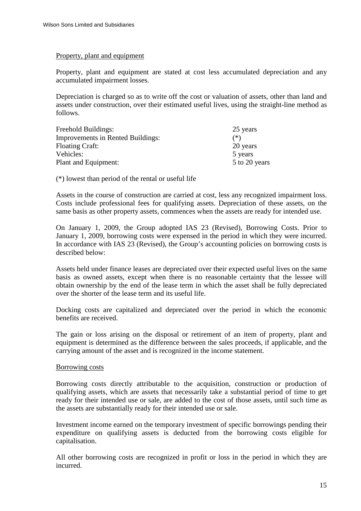## Property, plant and equipment

Property, plant and equipment are stated at cost less accumulated depreciation and any accumulated impairment losses.

Depreciation is charged so as to write off the cost or valuation of assets, other than land and assets under construction, over their estimated useful lives, using the straight-line method as follows.

| Freehold Buildings:                      | 25 years      |
|------------------------------------------|---------------|
| <b>Improvements in Rented Buildings:</b> | $(*)$         |
| <b>Floating Craft:</b>                   | 20 years      |
| Vehicles:                                | 5 years       |
| Plant and Equipment:                     | 5 to 20 years |

(\*) lowest than period of the rental or useful life

Assets in the course of construction are carried at cost, less any recognized impairment loss. Costs include professional fees for qualifying assets. Depreciation of these assets, on the same basis as other property assets, commences when the assets are ready for intended use.

On January 1, 2009, the Group adopted IAS 23 (Revised), Borrowing Costs. Prior to January 1, 2009, borrowing costs were expensed in the period in which they were incurred. In accordance with IAS 23 (Revised), the Group's accounting policies on borrowing costs is described below:

Assets held under finance leases are depreciated over their expected useful lives on the same basis as owned assets, except when there is no reasonable certainty that the lessee will obtain ownership by the end of the lease term in which the asset shall be fully depreciated over the shorter of the lease term and its useful life.

Docking costs are capitalized and depreciated over the period in which the economic benefits are received.

The gain or loss arising on the disposal or retirement of an item of property, plant and equipment is determined as the difference between the sales proceeds, if applicable, and the carrying amount of the asset and is recognized in the income statement.

#### Borrowing costs

Borrowing costs directly attributable to the acquisition, construction or production of qualifying assets, which are assets that necessarily take a substantial period of time to get ready for their intended use or sale, are added to the cost of those assets, until such time as the assets are substantially ready for their intended use or sale.

Investment income earned on the temporary investment of specific borrowings pending their expenditure on qualifying assets is deducted from the borrowing costs eligible for capitalisation.

All other borrowing costs are recognized in profit or loss in the period in which they are incurred.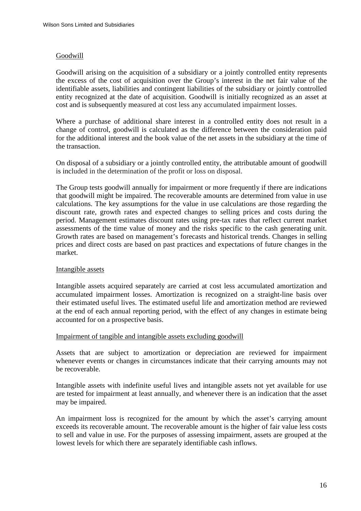# **Goodwill**

Goodwill arising on the acquisition of a subsidiary or a jointly controlled entity represents the excess of the cost of acquisition over the Group's interest in the net fair value of the identifiable assets, liabilities and contingent liabilities of the subsidiary or jointly controlled entity recognized at the date of acquisition. Goodwill is initially recognized as an asset at cost and is subsequently measured at cost less any accumulated impairment losses.

Where a purchase of additional share interest in a controlled entity does not result in a change of control, goodwill is calculated as the difference between the consideration paid for the additional interest and the book value of the net assets in the subsidiary at the time of the transaction.

On disposal of a subsidiary or a jointly controlled entity, the attributable amount of goodwill is included in the determination of the profit or loss on disposal.

The Group tests goodwill annually for impairment or more frequently if there are indications that goodwill might be impaired. The recoverable amounts are determined from value in use calculations. The key assumptions for the value in use calculations are those regarding the discount rate, growth rates and expected changes to selling prices and costs during the period. Management estimates discount rates using pre-tax rates that reflect current market assessments of the time value of money and the risks specific to the cash generating unit. Growth rates are based on management's forecasts and historical trends. Changes in selling prices and direct costs are based on past practices and expectations of future changes in the market.

#### Intangible assets

Intangible assets acquired separately are carried at cost less accumulated amortization and accumulated impairment losses. Amortization is recognized on a straight-line basis over their estimated useful lives. The estimated useful life and amortization method are reviewed at the end of each annual reporting period, with the effect of any changes in estimate being accounted for on a prospective basis.

#### Impairment of tangible and intangible assets excluding goodwill

Assets that are subject to amortization or depreciation are reviewed for impairment whenever events or changes in circumstances indicate that their carrying amounts may not be recoverable.

Intangible assets with indefinite useful lives and intangible assets not yet available for use are tested for impairment at least annually, and whenever there is an indication that the asset may be impaired.

An impairment loss is recognized for the amount by which the asset's carrying amount exceeds its recoverable amount. The recoverable amount is the higher of fair value less costs to sell and value in use. For the purposes of assessing impairment, assets are grouped at the lowest levels for which there are separately identifiable cash inflows.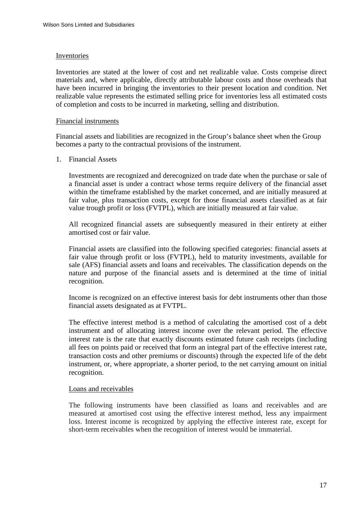#### Inventories

Inventories are stated at the lower of cost and net realizable value. Costs comprise direct materials and, where applicable, directly attributable labour costs and those overheads that have been incurred in bringing the inventories to their present location and condition. Net realizable value represents the estimated selling price for inventories less all estimated costs of completion and costs to be incurred in marketing, selling and distribution.

## Financial instruments

Financial assets and liabilities are recognized in the Group's balance sheet when the Group becomes a party to the contractual provisions of the instrument.

## 1. Financial Assets

Investments are recognized and derecognized on trade date when the purchase or sale of a financial asset is under a contract whose terms require delivery of the financial asset within the timeframe established by the market concerned, and are initially measured at fair value, plus transaction costs, except for those financial assets classified as at fair value trough profit or loss (FVTPL), which are initially measured at fair value.

All recognized financial assets are subsequently measured in their entirety at either amortised cost or fair value.

Financial assets are classified into the following specified categories: financial assets at fair value through profit or loss (FVTPL), held to maturity investments, available for sale (AFS) financial assets and loans and receivables. The classification depends on the nature and purpose of the financial assets and is determined at the time of initial recognition.

Income is recognized on an effective interest basis for debt instruments other than those financial assets designated as at FVTPL.

The effective interest method is a method of calculating the amortised cost of a debt instrument and of allocating interest income over the relevant period. The effective interest rate is the rate that exactly discounts estimated future cash receipts (including all fees on points paid or received that form an integral part of the effective interest rate, transaction costs and other premiums or discounts) through the expected life of the debt instrument, or, where appropriate, a shorter period, to the net carrying amount on initial recognition.

#### Loans and receivables

The following instruments have been classified as loans and receivables and are measured at amortised cost using the effective interest method, less any impairment loss. Interest income is recognized by applying the effective interest rate, except for short-term receivables when the recognition of interest would be immaterial.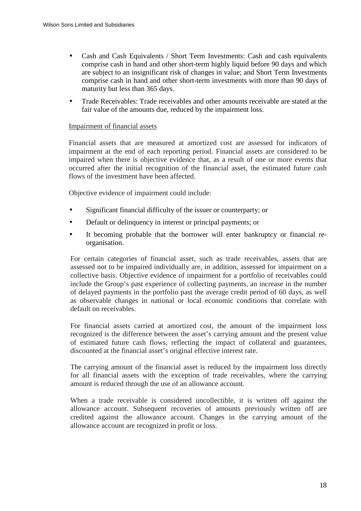- Cash and Cash Equivalents / Short Term Investments: Cash and cash equivalents comprise cash in hand and other short-term highly liquid before 90 days and which are subject to an insignificant risk of changes in value; and Short Term Investments comprise cash in hand and other short-term investments with more than 90 days of maturity but less than 365 days.
- Trade Receivables: Trade receivables and other amounts receivable are stated at the fair value of the amounts due, reduced by the impairment loss.

## Impairment of financial assets

Financial assets that are measured at amortized cost are assessed for indicators of impairment at the end of each reporting period. Financial assets are considered to be impaired when there is objective evidence that, as a result of one or more events that occurred after the initial recognition of the financial asset, the estimated future cash flows of the investment have been affected.

Objective evidence of impairment could include:

- Significant financial difficulty of the issuer or counterparty; or
- Default or delinquency in interest or principal payments; or
- It becoming probable that the borrower will enter bankruptcy or financial reorganisation.

For certain categories of financial asset, such as trade receivables, assets that are assessed not to be impaired individually are, in addition, assessed for impairment on a collective basis. Objective evidence of impairment for a portfolio of receivables could include the Group's past experience of collecting payments, an increase in the number of delayed payments in the portfolio past the average credit period of 60 days, as well as observable changes in national or local economic conditions that correlate with default on receivables.

For financial assets carried at amortized cost, the amount of the impairment loss recognized is the difference between the asset's carrying amount and the present value of estimated future cash flows, reflecting the impact of collateral and guarantees, discounted at the financial asset's original effective interest rate.

The carrying amount of the financial asset is reduced by the impairment loss directly for all financial assets with the exception of trade receivables, where the carrying amount is reduced through the use of an allowance account.

When a trade receivable is considered uncollectible, it is written off against the allowance account. Subsequent recoveries of amounts previously written off are credited against the allowance account. Changes in the carrying amount of the allowance account are recognized in profit or loss.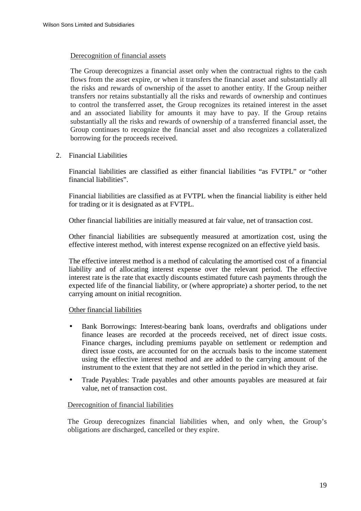## Derecognition of financial assets

The Group derecognizes a financial asset only when the contractual rights to the cash flows from the asset expire, or when it transfers the financial asset and substantially all the risks and rewards of ownership of the asset to another entity. If the Group neither transfers nor retains substantially all the risks and rewards of ownership and continues to control the transferred asset, the Group recognizes its retained interest in the asset and an associated liability for amounts it may have to pay. If the Group retains substantially all the risks and rewards of ownership of a transferred financial asset, the Group continues to recognize the financial asset and also recognizes a collateralized borrowing for the proceeds received.

2. Financial Liabilities

Financial liabilities are classified as either financial liabilities "as FVTPL" or "other financial liabilities".

Financial liabilities are classified as at FVTPL when the financial liability is either held for trading or it is designated as at FVTPL.

Other financial liabilities are initially measured at fair value, net of transaction cost.

Other financial liabilities are subsequently measured at amortization cost, using the effective interest method, with interest expense recognized on an effective yield basis.

The effective interest method is a method of calculating the amortised cost of a financial liability and of allocating interest expense over the relevant period. The effective interest rate is the rate that exactly discounts estimated future cash payments through the expected life of the financial liability, or (where appropriate) a shorter period, to the net carrying amount on initial recognition.

# Other financial liabilities

- Bank Borrowings: Interest-bearing bank loans, overdrafts and obligations under finance leases are recorded at the proceeds received, net of direct issue costs. Finance charges, including premiums payable on settlement or redemption and direct issue costs, are accounted for on the accruals basis to the income statement using the effective interest method and are added to the carrying amount of the instrument to the extent that they are not settled in the period in which they arise.
- Trade Payables: Trade payables and other amounts payables are measured at fair value, net of transaction cost.

#### Derecognition of financial liabilities

The Group derecognizes financial liabilities when, and only when, the Group's obligations are discharged, cancelled or they expire.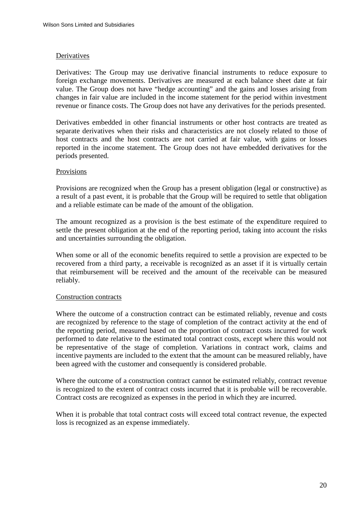#### **Derivatives**

Derivatives: The Group may use derivative financial instruments to reduce exposure to foreign exchange movements. Derivatives are measured at each balance sheet date at fair value. The Group does not have "hedge accounting" and the gains and losses arising from changes in fair value are included in the income statement for the period within investment revenue or finance costs. The Group does not have any derivatives for the periods presented.

Derivatives embedded in other financial instruments or other host contracts are treated as separate derivatives when their risks and characteristics are not closely related to those of host contracts and the host contracts are not carried at fair value, with gains or losses reported in the income statement. The Group does not have embedded derivatives for the periods presented.

## Provisions

Provisions are recognized when the Group has a present obligation (legal or constructive) as a result of a past event, it is probable that the Group will be required to settle that obligation and a reliable estimate can be made of the amount of the obligation.

The amount recognized as a provision is the best estimate of the expenditure required to settle the present obligation at the end of the reporting period, taking into account the risks and uncertainties surrounding the obligation.

When some or all of the economic benefits required to settle a provision are expected to be recovered from a third party, a receivable is recognized as an asset if it is virtually certain that reimbursement will be received and the amount of the receivable can be measured reliably.

# Construction contracts

Where the outcome of a construction contract can be estimated reliably, revenue and costs are recognized by reference to the stage of completion of the contract activity at the end of the reporting period, measured based on the proportion of contract costs incurred for work performed to date relative to the estimated total contract costs, except where this would not be representative of the stage of completion. Variations in contract work, claims and incentive payments are included to the extent that the amount can be measured reliably, have been agreed with the customer and consequently is considered probable.

Where the outcome of a construction contract cannot be estimated reliably, contract revenue is recognized to the extent of contract costs incurred that it is probable will be recoverable. Contract costs are recognized as expenses in the period in which they are incurred.

When it is probable that total contract costs will exceed total contract revenue, the expected loss is recognized as an expense immediately.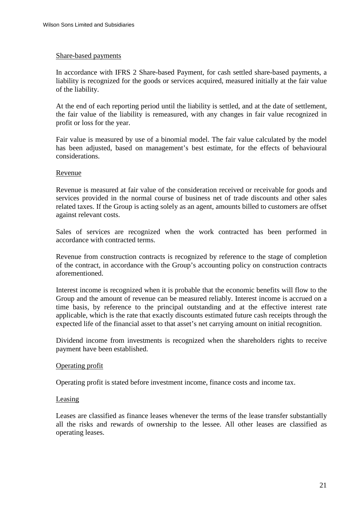#### Share-based payments

In accordance with IFRS 2 Share-based Payment, for cash settled share-based payments, a liability is recognized for the goods or services acquired, measured initially at the fair value of the liability.

At the end of each reporting period until the liability is settled, and at the date of settlement, the fair value of the liability is remeasured, with any changes in fair value recognized in profit or loss for the year.

Fair value is measured by use of a binomial model. The fair value calculated by the model has been adjusted, based on management's best estimate, for the effects of behavioural considerations.

## Revenue

Revenue is measured at fair value of the consideration received or receivable for goods and services provided in the normal course of business net of trade discounts and other sales related taxes. If the Group is acting solely as an agent, amounts billed to customers are offset against relevant costs.

Sales of services are recognized when the work contracted has been performed in accordance with contracted terms.

Revenue from construction contracts is recognized by reference to the stage of completion of the contract, in accordance with the Group's accounting policy on construction contracts aforementioned.

Interest income is recognized when it is probable that the economic benefits will flow to the Group and the amount of revenue can be measured reliably. Interest income is accrued on a time basis, by reference to the principal outstanding and at the effective interest rate applicable, which is the rate that exactly discounts estimated future cash receipts through the expected life of the financial asset to that asset's net carrying amount on initial recognition.

Dividend income from investments is recognized when the shareholders rights to receive payment have been established.

#### Operating profit

Operating profit is stated before investment income, finance costs and income tax.

#### Leasing

Leases are classified as finance leases whenever the terms of the lease transfer substantially all the risks and rewards of ownership to the lessee. All other leases are classified as operating leases.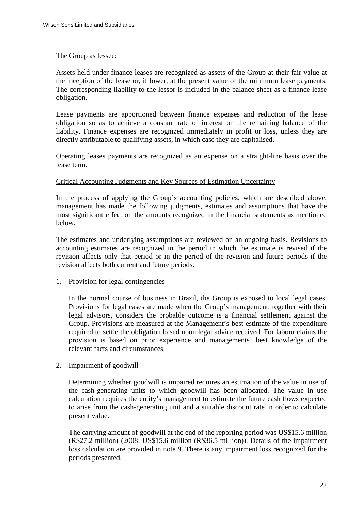The Group as lessee:

Assets held under finance leases are recognized as assets of the Group at their fair value at the inception of the lease or, if lower, at the present value of the minimum lease payments. The corresponding liability to the lessor is included in the balance sheet as a finance lease obligation.

Lease payments are apportioned between finance expenses and reduction of the lease obligation so as to achieve a constant rate of interest on the remaining balance of the liability. Finance expenses are recognized immediately in profit or loss, unless they are directly attributable to qualifying assets, in which case they are capitalised.

Operating leases payments are recognized as an expense on a straight-line basis over the lease term.

## Critical Accounting Judgments and Key Sources of Estimation Uncertainty

In the process of applying the Group's accounting policies, which are described above, management has made the following judgments, estimates and assumptions that have the most significant effect on the amounts recognized in the financial statements as mentioned below.

The estimates and underlying assumptions are reviewed on an ongoing basis. Revisions to accounting estimates are recognized in the period in which the estimate is revised if the revision affects only that period or in the period of the revision and future periods if the revision affects both current and future periods.

# 1. Provision for legal contingencies

In the normal course of business in Brazil, the Group is exposed to local legal cases. Provisions for legal cases are made when the Group's management, together with their legal advisors, considers the probable outcome is a financial settlement against the Group. Provisions are measured at the Management's best estimate of the expenditure required to settle the obligation based upon legal advice received. For labour claims the provision is based on prior experience and managements' best knowledge of the relevant facts and circumstances.

# 2. Impairment of goodwill

Determining whether goodwill is impaired requires an estimation of the value in use of the cash-generating units to which goodwill has been allocated. The value in use calculation requires the entity's management to estimate the future cash flows expected to arise from the cash-generating unit and a suitable discount rate in order to calculate present value.

The carrying amount of goodwill at the end of the reporting period was US\$15.6 million (R\$27.2 million) (2008: US\$15.6 million (R\$36.5 million)). Details of the impairment loss calculation are provided in note 9. There is any impairment loss recognized for the periods presented.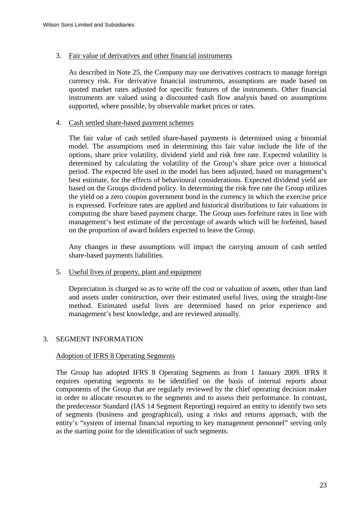# 3. Fair value of derivatives and other financial instruments

As described in Note 25, the Company may use derivatives contracts to manage foreign currency risk. For derivative financial instruments, assumptions are made based on quoted market rates adjusted for specific features of the instruments. Other financial instruments are valued using a discounted cash flow analysis based on assumptions supported, where possible, by observable market prices or rates.

# 4. Cash settled share-based payment schemes

The fair value of cash settled share-based payments is determined using a binomial model. The assumptions used in determining this fair value include the life of the options, share price volatility, dividend yield and risk free rate. Expected volatility is determined by calculating the volatility of the Group's share price over a historical period. The expected life used in the model has been adjusted, based on management's best estimate, for the effects of behavioural considerations. Expected dividend yield are based on the Groups dividend policy. In determining the risk free rate the Group utilizes the yield on a zero coupon government bond in the currency in which the exercise price is expressed. Forfeiture rates are applied and historical distributions to fair valuations in computing the share based payment charge. The Group uses forfeiture rates in line with management's best estimate of the percentage of awards which will be forfeited, based on the proportion of award holders expected to leave the Group.

Any changes in these assumptions will impact the carrying amount of cash settled share-based payments liabilities.

# 5. Useful lives of property, plant and equipment

Depreciation is charged so as to write off the cost or valuation of assets, other than land and assets under construction, over their estimated useful lives, using the straight-line method. Estimated useful lives are determined based on prior experience and management's best knowledge, and are reviewed annually.

# 3. SEGMENT INFORMATION

# Adoption of IFRS 8 Operating Segments

The Group has adopted IFRS 8 Operating Segments as from 1 January 2009. IFRS 8 requires operating segments to be identified on the basis of internal reports about components of the Group that are regularly reviewed by the chief operating decision maker in order to allocate resources to the segments and to assess their performance. In contrast, the predecessor Standard (IAS 14 Segment Reporting) required an entity to identify two sets of segments (business and geographical), using a risks and returns approach, with the entity's "system of internal financial reporting to key management personnel" serving only as the starting point for the identification of such segments.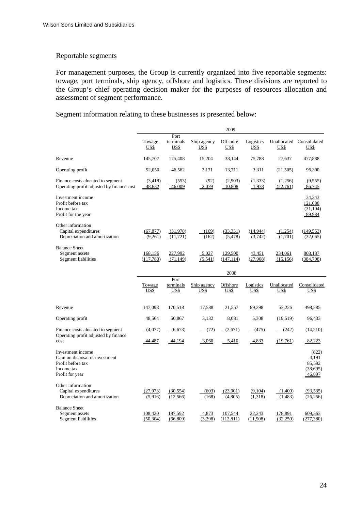#### Reportable segments

For management purposes, the Group is currently organized into five reportable segments: towage, port terminals, ship agency, offshore and logistics. These divisions are reported to the Group's chief operating decision maker for the purposes of resources allocation and assessment of segment performance.

Segment information relating to these businesses is presented below:

|                                                                                                           |                      |                                  |                            | 2009                    |                          |                            |                                                |
|-----------------------------------------------------------------------------------------------------------|----------------------|----------------------------------|----------------------------|-------------------------|--------------------------|----------------------------|------------------------------------------------|
|                                                                                                           | Towage<br>US\$       | Port<br>terminals<br>US\$        | Ship agency<br>US\$        | Offshore<br>US\$        | Logistics<br>US\$        | US\$                       | Unallocated Consolidated<br>US\$               |
| Revenue                                                                                                   | 145,707              | 175,408                          | 15,204                     | 38,144                  | 75,788                   | 27,637                     | 477,888                                        |
| Operating profit                                                                                          | 52,050               | 46.562                           | 2.171                      | 13,711                  | 3,311                    | (21,505)                   | 96,300                                         |
| Finance costs alocated to segment<br>Operating profit adjusted by finance cost                            | (3,418)<br>48,632    | (553)<br>46,009                  | (92)<br>2,079              | (2,903)<br>$-10,808$    | (1,333)<br>1,978         | (1,256)<br>(22,761)        | (9,555)<br>86,745                              |
| Investment income<br>Profit before tax<br>Income tax<br>Profit for the year                               |                      |                                  |                            |                         |                          |                            | 34,343<br>121,088<br>(31, 104)<br>89,984       |
| Other information<br>Capital expenditures<br>Depreciation and amortization                                | (67, 877)<br>(9,261) | (31,978)<br>(11, 721)            | (169)<br>(162)             | (33, 331)<br>(5,478)    | (14, 944)<br>(3,742)     | (1,254)<br>(1,701)         | (149, 553)<br>(32,065)                         |
| <b>Balance Sheet</b><br>Segment assets<br>Segment liabilities                                             | 168,156<br>(117,780) | 227,992<br>(71, 149)             | 5,027<br>(5,541)           | 129,500<br>(147, 114)   | 43,451<br>(27,968)       | 234,061<br>(15, 156)       | 808,187<br>(384,708)                           |
|                                                                                                           |                      |                                  |                            | 2008                    |                          |                            |                                                |
|                                                                                                           | Towage<br>US\$       | Port<br>terminals<br><u>US\$</u> | Ship agency<br><u>US\$</u> | Offshore<br><u>US\$</u> | Logistics<br><b>US\$</b> | Unallocated<br><u>US\$</u> | Consolidated<br>US\$                           |
| Revenue                                                                                                   | 147,098              | 170,518                          | 17,588                     | 21,557                  | 89,298                   | 52,226                     | 498,285                                        |
| Operating profit                                                                                          | 48,564               | 50,867                           | 3,132                      | 8,081                   | 5,308                    | (19,519)                   | 96,433                                         |
| Finance costs alocated to segment<br>Operating profit adjusted by finance                                 | (4,077)              | (6, 673)                         | (72)                       | (2,671)                 | (475)                    | (242)                      | (14,210)                                       |
| cost                                                                                                      | 44,487               | 44,194                           | 3,060                      | 5,410                   | 4,833                    | (19,761)                   | 82,223                                         |
| Investment income<br>Gain on disposal of investment<br>Profit before tax<br>Income tax<br>Profit for year |                      |                                  |                            |                         |                          |                            | (822)<br>4,191<br>85,592<br>(38,695)<br>46,897 |
| Other information<br>Capital expenditures<br>Depreciation and amortization                                | (27, 973)<br>(5,916) | (30, 554)<br>(12,566)            | (603)<br>(168)             | (23,901)<br>(4,805)     | (9,104)<br>(1,318)       | (1,400)<br>(1,483)         | (93, 535)<br>(26, 256)                         |
| <b>Balance Sheet</b><br>Segment assets<br>Segment liabilities                                             | 108,420<br>(50, 304) | 187,592<br>(66, 809)             | 4,873<br>(3,298)           | 107,544<br>(112, 811)   | 22,243<br>(11,908)       | 178,891<br>(32,250)        | 609,563<br>(277, 380)                          |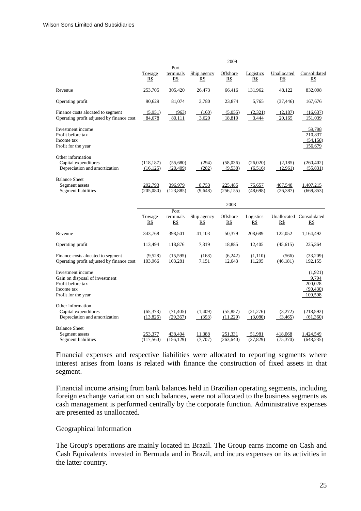|                                                                                                               |                         |                          |                    | 2009                  |                     |                      |                                                     |
|---------------------------------------------------------------------------------------------------------------|-------------------------|--------------------------|--------------------|-----------------------|---------------------|----------------------|-----------------------------------------------------|
|                                                                                                               | Towage<br>R\$           | Port<br>terminals<br>R\$ | Ship agency<br>R\$ | Offshore<br>R\$       | Logistics<br>R\$    | Unallocated<br>R\$   | Consolidated<br>R\$                                 |
| Revenue                                                                                                       | 253,705                 | 305,420                  | 26,473             | 66.416                | 131,962             | 48,122               | 832,098                                             |
| Operating profit                                                                                              | 90,629                  | 81,074                   | 3,780              | 23,874                | 5,765               | (37, 446)            | 167,676                                             |
| Finance costs alocated to segment<br>Operating profit adjusted by finance cost                                | (5,951)<br>84,678       | (963)<br>80,111          | (160)<br>3,620     | (5,055)<br>18,819     | (2,321)<br>3,444    | (2,187)<br>20,165    | (16, 637)<br><u>151,039</u>                         |
| Investment income<br>Profit before tax<br>Income tax<br>Profit for the year                                   |                         |                          |                    |                       |                     |                      | 59,798<br>210,837<br>(54,158)<br>156,679            |
| Other information<br>Capital expenditures<br>Depreciation and amortization                                    | (118, 187)<br>(16, 125) | (55,680)<br>(20, 409)    | (294)<br>(282)     | (58,036)<br>(9,538)   | (26,020)<br>(6,516) | (2,185)<br>(2,961)   | (260, 402)<br>(55, 831)                             |
| <b>Balance Sheet</b><br>Segment assets<br><b>Segment liabilities</b>                                          | 292,793<br>(205,080)    | 396,979<br>(123, 885)    | 8,753<br>(9,648)   | 225,485<br>(256, 155) | 75,657<br>(48, 698) | 407,548<br>(26, 387) | 1,407,215<br>(669, 853)                             |
|                                                                                                               |                         |                          |                    | 2008                  |                     |                      |                                                     |
|                                                                                                               | Towage<br>R\$           | Port<br>terminals<br>R\$ | Ship agency<br>R\$ | Offshore<br>R\$       | Logistics<br>R\$    | R\$                  | Unallocated Consolidated<br>R\$                     |
| Revenue                                                                                                       | 343,768                 | 398,501                  | 41,103             | 50,379                | 208,689             | 122,052              | 1,164,492                                           |
| Operating profit                                                                                              | 113,494                 | 118,876                  | 7,319              | 18,885                | 12,405              | (45, 615)            | 225,364                                             |
| Finance costs alocated to segment<br>Operating profit adjusted by finance cost                                | (9,528)<br>103,966      | (15,595)<br>103,281      | (168)<br>7,151     | (6,242)<br>12,643     | (1,110)<br>11,295   | (566)<br>(46, 181)   | (33,209)<br>192,155                                 |
| Investment income<br>Gain on disposal of investment<br>Profit before tax<br>Income tax<br>Profit for the year |                         |                          |                    |                       |                     |                      | (1,921)<br>9,794<br>200,028<br>(90, 430)<br>109,598 |
| Other information<br>Capital expenditures<br>Depreciation and amortization                                    | (65,373)<br>(13,826)    | (71, 405)<br>(29, 367)   | (1,409)<br>(393)   | (55, 857)<br>(11,229) | (21,276)<br>(3,080) | (3,272)<br>(3,465)   | (218, 592)<br>(61, 360)                             |
| <b>Balance Sheet</b><br>Segment assets<br>Segment liabilities                                                 | 253,377<br>(117,560)    | 438,404<br>(156, 129)    | 11,388<br>(7,707)  | 251,331<br>(263, 640) | 51,981<br>(27, 829) | 418,068<br>(75,370)  | 1,424,549<br>(648, 235)                             |

Financial expenses and respective liabilities were allocated to reporting segments where interest arises from loans is related with finance the construction of fixed assets in that segment.

Financial income arising from bank balances held in Brazilian operating segments, including foreign exchange variation on such balances, were not allocated to the business segments as cash management is performed centrally by the corporate function. Administrative expenses are presented as unallocated.

#### Geographical information

The Group's operations are mainly located in Brazil. The Group earns income on Cash and Cash Equivalents invested in Bermuda and in Brazil, and incurs expenses on its activities in the latter country.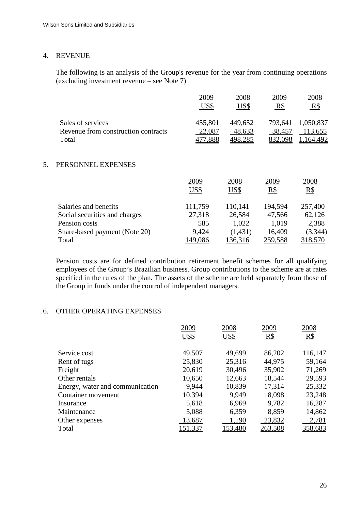# 4. REVENUE

The following is an analysis of the Group's revenue for the year from continuing operations (excluding investment revenue – see Note 7)

|    |                                                                   | 2009<br>US\$                 | 2008<br>US\$                 | 2009<br>$R\$                 | 2008<br>$R\$                      |
|----|-------------------------------------------------------------------|------------------------------|------------------------------|------------------------------|-----------------------------------|
|    | Sales of services<br>Revenue from construction contracts<br>Total | 455,801<br>22,087<br>477,888 | 449,652<br>48,633<br>498,285 | 793,641<br>38,457<br>832,098 | 1,050,837<br>113,655<br>1,164,492 |
| 5. | PERSONNEL EXPENSES                                                |                              |                              |                              |                                   |
|    |                                                                   | 2009<br>US\$                 | 2008<br>US\$                 | 2009<br>R\$                  | 2008<br>R\$                       |
|    | Salaries and benefits                                             | 111,759                      | 110,141                      | 194,594                      | 257,400                           |
|    | Social securities and charges                                     | 27,318                       | 26,584                       | 47,566                       | 62,126                            |
|    | Pension costs                                                     | 585                          | 1,022                        | 1,019                        | 2,388                             |
|    | Share-based payment (Note 20)                                     | 9,424                        | (1,431)                      | 16,409                       | (3,344)                           |

Pension costs are for defined contribution retirement benefit schemes for all qualifying employees of the Group's Brazilian business. Group contributions to the scheme are at rates specified in the rules of the plan. The assets of the scheme are held separately from those of the Group in funds under the control of independent managers.

Total 149,086 136,316 259,588 318,570

# 6. OTHER OPERATING EXPENSES

|                                 | 2009           | 2008    | 2009           | 2008    |
|---------------------------------|----------------|---------|----------------|---------|
|                                 | US\$           | US\$    | $R\$           | $R\$    |
|                                 |                |         |                |         |
| Service cost                    | 49,507         | 49,699  | 86,202         | 116,147 |
| Rent of tugs                    | 25,830         | 25,316  | 44,975         | 59,164  |
| Freight                         | 20,619         | 30,496  | 35,902         | 71,269  |
| Other rentals                   | 10,650         | 12,663  | 18,544         | 29,593  |
| Energy, water and communication | 9,944          | 10,839  | 17,314         | 25,332  |
| Container movement              | 10,394         | 9,949   | 18,098         | 23,248  |
| Insurance                       | 5,618          | 6,969   | 9,782          | 16,287  |
| Maintenance                     | 5,088          | 6,359   | 8,859          | 14,862  |
| Other expenses                  | 13,687         | 1,190   | 23,832         | 2,781   |
| Total                           | <u>151,337</u> | 153,480 | <u>263,508</u> | 358,683 |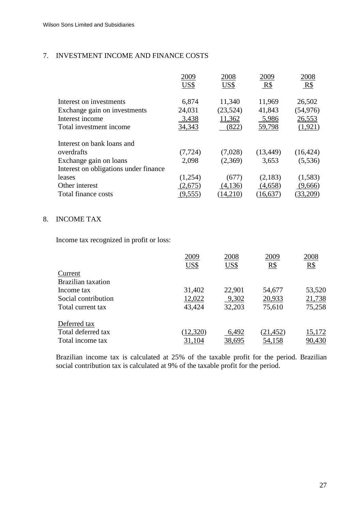# 7. INVESTMENT INCOME AND FINANCE COSTS

|                                       | 2009     | 2008     | 2009      | 2008      |
|---------------------------------------|----------|----------|-----------|-----------|
|                                       | US\$     | US\$     | R\$       | R\$       |
| Interest on investments               | 6,874    | 11,340   | 11,969    | 26,502    |
| Exchange gain on investments          | 24,031   | (23,524) | 41,843    | (54, 976) |
| Interest income                       | 3,438    | 11,362   | 5,986     | 26,553    |
| Total investment income               | 34,343   | (822)    | 59,798    | (1,921)   |
| Interest on bank loans and            |          |          |           |           |
| overdrafts                            | (7, 724) | (7,028)  | (13, 449) | (16, 424) |
| Exchange gain on loans                | 2,098    | (2,369)  | 3,653     | (5,536)   |
| Interest on obligations under finance |          |          |           |           |
| leases                                | (1,254)  | (677)    | (2,183)   | (1,583)   |
| Other interest                        | (2,675)  | (4,136)  | (4,658)   | (9,666)   |
| Total finance costs                   | (9,555)  | 14,210   | (16,637   | (33,209)  |

# 8. INCOME TAX

Income tax recognized in profit or loss:

|                           | 2009      | 2008   | 2009              | 2008   |
|---------------------------|-----------|--------|-------------------|--------|
|                           | US\$      | US\$   | $\underline{R\$}$ | $R\$   |
| Current                   |           |        |                   |        |
| <b>Brazilian taxation</b> |           |        |                   |        |
| Income tax                | 31,402    | 22,901 | 54,677            | 53,520 |
| Social contribution       | 12,022    | 9,302  | 20,933            | 21,738 |
| Total current tax         | 43,424    | 32,203 | 75,610            | 75,258 |
|                           |           |        |                   |        |
| Deferred tax              |           |        |                   |        |
| Total deferred tax        | (12, 320) | 6,492  | (21, 452)         | 15,172 |
| Total income tax          | 31,104    | 38,695 | 54,158            | 90,430 |

Brazilian income tax is calculated at 25% of the taxable profit for the period. Brazilian social contribution tax is calculated at 9% of the taxable profit for the period.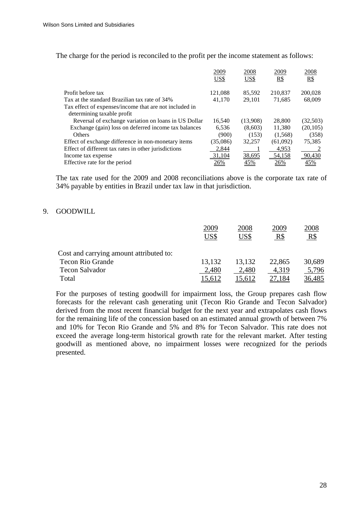The charge for the period is reconciled to the profit per the income statement as follows:

|                                                        | 2009     | 2008          | 2009       | 2008       |
|--------------------------------------------------------|----------|---------------|------------|------------|
|                                                        | US\$     | US\$          | <u>R\$</u> | <u>R\$</u> |
| Profit before tax                                      | 121,088  | 85,592        | 210,837    | 200,028    |
| Tax at the standard Brazilian tax rate of 34%          | 41.170   | 29.101        |            |            |
|                                                        |          |               | 71,685     | 68,009     |
| Tax effect of expenses/income that are not included in |          |               |            |            |
| determining taxable profit                             |          |               |            |            |
| Reversal of exchange variation on loans in US Dollar   | 16,540   | (13,908)      | 28,800     | (32,503)   |
| Exchange (gain) loss on deferred income tax balances   | 6,536    | (8,603)       | 11,380     | (20, 105)  |
| <b>Others</b>                                          | (900)    | (153)         | (1,568)    | (358)      |
| Effect of exchange difference in non-monetary items    | (35,086) | 32,257        | (61,092)   | 75,385     |
| Effect of different tax rates in other jurisdictions   | 2,844    |               | 4,953      |            |
| Income tax expense                                     | 31,104   | <u>38,695</u> | 54,158     | 90,430     |
| Effective rate for the period                          |          | 45%           | 26%        |            |

The tax rate used for the 2009 and 2008 reconciliations above is the corporate tax rate of 34% payable by entities in Brazil under tax law in that jurisdiction.

# 9. GOODWILL

|                                         | 2009<br>US\$ | 2008<br>US\$ | 2009<br>$R\$ | 2008<br>R\$ |
|-----------------------------------------|--------------|--------------|--------------|-------------|
| Cost and carrying amount attributed to: |              |              |              |             |
| <b>Tecon Rio Grande</b>                 | 13,132       | 13,132       | 22,865       | 30,689      |
| <b>Tecon Salvador</b>                   | 2,480        | 2,480        | 4,319        | 5,796       |
| Total                                   |              |              |              | 36,485      |

For the purposes of testing goodwill for impairment loss, the Group prepares cash flow forecasts for the relevant cash generating unit (Tecon Rio Grande and Tecon Salvador) derived from the most recent financial budget for the next year and extrapolates cash flows for the remaining life of the concession based on an estimated annual growth of between 7% and 10% for Tecon Rio Grande and 5% and 8% for Tecon Salvador. This rate does not exceed the average long-term historical growth rate for the relevant market. After testing goodwill as mentioned above, no impairment losses were recognized for the periods presented.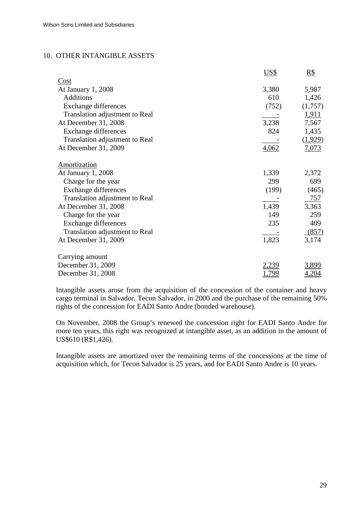# 10. OTHER INTANGIBLE ASSETS

|                                | US\$  | $R\$         |
|--------------------------------|-------|--------------|
| Cost                           |       |              |
| At January 1, 2008             | 3,380 | 5,987        |
| <b>Additions</b>               | 610   | 1,426        |
| Exchange differences           | (752) | (1,757)      |
| Translation adjustment to Real |       | 1,911        |
| At December 31, 2008           | 3,238 | 7,567        |
| <b>Exchange differences</b>    | 824   | 1,435        |
| Translation adjustment to Real |       | (1,929)      |
| At December 31, 2009           | 4,062 | <u>7,073</u> |
| Amortization                   |       |              |
| At January 1, 2008             | 1,339 | 2,372        |
| Charge for the year            | 299   | 699          |
| <b>Exchange differences</b>    | (199) | (465)        |
| Translation adjustment to Real |       | 757          |
| At December 31, 2008           | 1,439 | 3,363        |
| Charge for the year            | 149   | 259          |
| <b>Exchange differences</b>    | 235   | 409          |
| Translation adjustment to Real |       | (857)        |
| At December 31, 2009           | 1,823 | 3,174        |
| Carrying amount                |       |              |
| December 31, 2009              | 2,239 | 3,899        |
| December 31, 2008              | .799  | 4,204        |

Intangible assets arose from the acquisition of the concession of the container and heavy cargo terminal in Salvador, Tecon Salvador, in 2000 and the purchase of the remaining 50% rights of the concession for EADI Santo Andre (bonded warehouse).

On November, 2008 the Group's renewed the concession right for EADI Santo Andre for more ten years, this right was recognized at intangible asset, as an addition in the amount of US\$610 (R\$1,426).

Intangible assets are amortized over the remaining terms of the concessions at the time of acquisition which, for Tecon Salvador is 25 years, and for EADI Santo Andre is 10 years.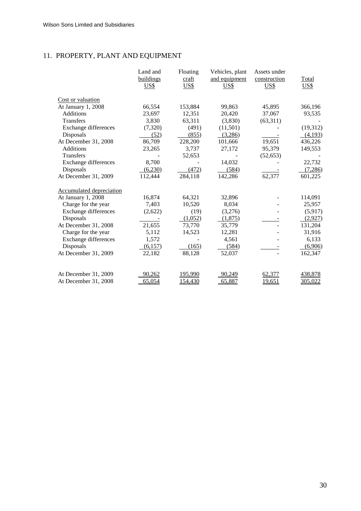# 11. PROPERTY, PLANT AND EQUIPMENT

|                                 | Land and<br>buildings<br>US\$ | Floating<br>craft<br><b>US\$</b> | Vehicles, plant<br>and equipment<br>US\$ | Assets under<br>construction<br>US\$ | Total<br>US\$ |
|---------------------------------|-------------------------------|----------------------------------|------------------------------------------|--------------------------------------|---------------|
| Cost or valuation               |                               |                                  |                                          |                                      |               |
| At January 1, 2008              | 66,554                        | 153,884                          | 99,863                                   | 45,895                               | 366,196       |
| <b>Additions</b>                | 23,697                        | 12,351                           | 20,420                                   | 37,067                               | 93,535        |
| Transfers                       | 3,830                         | 63,311                           | (3,830)                                  | (63,311)                             |               |
| <b>Exchange differences</b>     | (7, 320)                      | (491)                            | (11,501)                                 |                                      | (19, 312)     |
| Disposals                       | (52)                          | (855)                            | (3,286)                                  |                                      | (4,193)       |
| At December 31, 2008            | 86,709                        | 228,200                          | 101,666                                  | 19,651                               | 436,226       |
| Additions                       | 23,265                        | 3,737                            | 27,172                                   | 95,379                               | 149,553       |
| Transfers                       |                               | 52,653                           |                                          | (52, 653)                            |               |
| Exchange differences            | 8,700                         |                                  | 14,032                                   |                                      | 22,732        |
| Disposals                       | (6,230)                       | (472)                            | (584)                                    |                                      | (7,286)       |
| At December 31, 2009            | 112,444                       | 284,118                          | 142,286                                  | 62,377                               | 601,225       |
| <b>Accumulated depreciation</b> |                               |                                  |                                          |                                      |               |
| At January 1, 2008              | 16,874                        | 64,321                           | 32,896                                   |                                      | 114,091       |
| Charge for the year             | 7,403                         | 10,520                           | 8,034                                    |                                      | 25,957        |
| Exchange differences            | (2,622)                       | (19)                             | (3,276)                                  |                                      | (5,917)       |
| Disposals                       |                               | (1,052)                          | (1,875)                                  |                                      | (2,927)       |
| At December 31, 2008            | 21,655                        | 73,770                           | 35,779                                   |                                      | 131,204       |
| Charge for the year             | 5,112                         | 14,523                           | 12,281                                   |                                      | 31,916        |
| Exchange differences            | 1,572                         |                                  | 4,561                                    |                                      | 6,133         |
| Disposals                       | (6,157)                       | (165)                            | (584)                                    |                                      | (6,906)       |
| At December 31, 2009            | 22,182                        | 88,128                           | 52,037                                   |                                      | 162,347       |
| At December 31, 2009            | 90,262                        | 195,990                          | 90,249                                   | 62,377                               | 438,878       |
| At December 31, 2008            | 65,054                        | 154,430                          | 65,887                                   | <u>19,651</u>                        | 305,022       |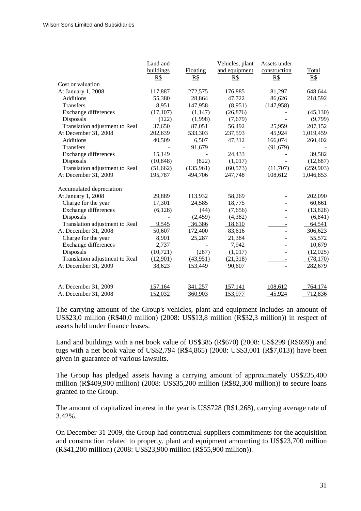|                                 | Land and  |                | Vehicles, plant | Assets under   |              |
|---------------------------------|-----------|----------------|-----------------|----------------|--------------|
|                                 | buildings | Floating       | and equipment   | construction   | <b>Total</b> |
|                                 | R\$       | R\$            | R\$             | R\$            | R\$          |
| Cost or valuation               |           |                |                 |                |              |
| At January 1, 2008              | 117,887   | 272,575        | 176,885         | 81,297         | 648,644      |
| <b>Additions</b>                | 55,380    | 28,864         | 47,722          | 86,626         | 218,592      |
| <b>Transfers</b>                | 8,951     | 147,958        | (8,951)         | (147,958)      |              |
| <b>Exchange differences</b>     | (17, 107) | (1,147)        | (26, 876)       |                | (45, 130)    |
| Disposals                       | (122)     | (1,998)        | (7,679)         |                | (9,799)      |
| Translation adjustment to Real  | 37,650    | 87,051         | 56,492          | 25,959         | 207,152      |
| At December 31, 2008            | 202,639   | 533,303        | 237,593         | 45,924         | 1,019,459    |
| <b>Additions</b>                | 40,509    | 6,507          | 47,312          | 166,074        | 260,402      |
| Transfers                       |           | 91,679         |                 | (91, 679)      |              |
| <b>Exchange differences</b>     | 15,149    |                | 24,433          |                | 39,582       |
| Disposals                       | (10, 848) | (822)          | (1,017)         |                | (12, 687)    |
| Translation adjustment to Real  | (51,662)  | (135,961)      | (60, 573)       | (11,707)       | (259,903)    |
| At December 31, 2009            | 195,787   | 494,706        | 247,748         | 108,612        | 1,046,853    |
| <b>Accumulated depreciation</b> |           |                |                 |                |              |
| At January 1, 2008              | 29,889    | 113,932        | 58,269          |                | 202,090      |
| Charge for the year             | 17,301    | 24,585         | 18,775          |                | 60,661       |
| <b>Exchange differences</b>     | (6,128)   | (44)           | (7,656)         |                | (13, 828)    |
| Disposals                       |           | (2, 459)       | (4, 382)        | ÷.             | (6, 841)     |
| Translation adjustment to Real  | 9,545     | 36,386         | 18,610          |                | 64,541       |
| At December 31, 2008            | 50,607    | 172,400        | 83,616          | $\overline{a}$ | 306,623      |
| Charge for the year             | 8,901     | 25,287         | 21,384          |                | 55,572       |
| Exchange differences            | 2,737     |                | 7,942           |                | 10,679       |
| Disposals                       | (10, 721) | (287)          | (1,017)         | ÷,             | (12,025)     |
| Translation adjustment to Real  | (12,901)  | (43,951)       | (21,318)        |                | (78, 170)    |
| At December 31, 2009            | 38,623    | 153,449        | 90,607          | $\overline{a}$ | 282,679      |
| At December 31, 2009            | 157,164   | 341,257        | <u>157,141</u>  | 108,612        | 764,174      |
| At December 31, 2008            | 152,032   |                | 153,977         | 45,924         | 712,836      |
|                                 |           | <u>360,903</u> |                 |                |              |

The carrying amount of the Group's vehicles, plant and equipment includes an amount of US\$23,0 million (R\$40,0 million) (2008: US\$13,8 million (R\$32,3 million)) in respect of assets held under finance leases.

Land and buildings with a net book value of US\$385 (R\$670) (2008: US\$299 (R\$699)) and tugs with a net book value of US\$2,794 (R\$4,865) (2008: US\$3,001 (R\$7,013)) have been given in guarantee of various lawsuits.

The Group has pledged assets having a carrying amount of approximately US\$235,400 million (R\$409,900 million) (2008: US\$35,200 million (R\$82,300 million)) to secure loans granted to the Group.

The amount of capitalized interest in the year is US\$728 (R\$1,268), carrying average rate of 3.42%.

On December 31 2009, the Group had contractual suppliers commitments for the acquisition and construction related to property, plant and equipment amounting to US\$23,700 million (R\$41,200 million) (2008: US\$23,900 million (R\$55,900 million)).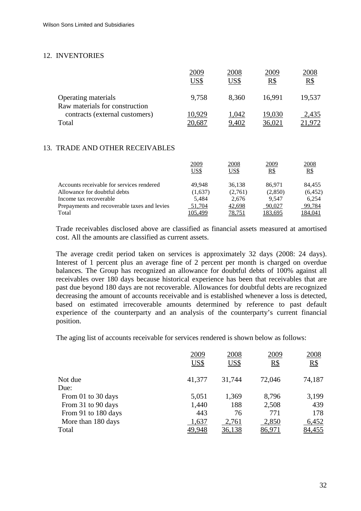# 12. INVENTORIES

|                                                       | 2009   | 2008  | 2009   | 2008   |
|-------------------------------------------------------|--------|-------|--------|--------|
|                                                       | US\$   | US\$  | R\$    | $R\$   |
| Operating materials<br>Raw materials for construction | 9,758  | 8,360 | 16,991 | 19,537 |
| contracts (external customers)                        | 10,929 | 1,042 | 19,030 | 2,435  |
| Total                                                 | 20,687 | 9,402 | 36,021 | 21.972 |

# 13. TRADE AND OTHER RECEIVABLES

|                                              | 2009<br>US\$ | 2008<br><u>US\$</u> | 2009<br><u>R\$</u> | 2008<br>R\$ |
|----------------------------------------------|--------------|---------------------|--------------------|-------------|
| Accounts receivable for services rendered    | 49.948       | 36.138              | 86.971             | 84.455      |
| Allowance for doubtful debts                 | (1,637)      | (2,761)             | (2,850)            | (6, 452)    |
| Income tax recoverable                       | 5.484        | 2.676               | 9.547              | 6.254       |
| Prepayments and recoverable taxes and levies | 51,704       | 42,698              | 90,027             | 99,784      |
| Total                                        | 105,499      | 78,751              | 183.695            | 184.041     |

Trade receivables disclosed above are classified as financial assets measured at amortised cost. All the amounts are classified as current assets.

The average credit period taken on services is approximately 32 days (2008: 24 days). Interest of 1 percent plus an average fine of 2 percent per month is charged on overdue balances. The Group has recognized an allowance for doubtful debts of 100% against all receivables over 180 days because historical experience has been that receivables that are past due beyond 180 days are not recoverable. Allowances for doubtful debts are recognized decreasing the amount of accounts receivable and is established whenever a loss is detected, based on estimated irrecoverable amounts determined by reference to past default experience of the counterparty and an analysis of the counterparty's current financial position.

The aging list of accounts receivable for services rendered is shown below as follows:

|                     | 2009<br>US\$ | 2008<br>US\$ | 2009<br>R\$ | 2008<br>R\$ |
|---------------------|--------------|--------------|-------------|-------------|
| Not due             | 41,377       | 31,744       | 72,046      | 74,187      |
| Due:                |              |              |             |             |
| From 01 to 30 days  | 5,051        | 1,369        | 8,796       | 3,199       |
| From 31 to 90 days  | 1,440        | 188          | 2,508       | 439         |
| From 91 to 180 days | 443          | 76           | 771         | 178         |
| More than 180 days  | 1,637        | 2,761        | 2,850       | 6,452       |
| Total               | 49.948       | 36,138       | 86,971      | 84,455      |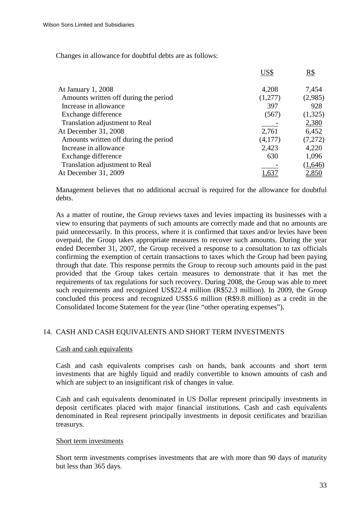Changes in allowance for doubtful debts are as follows:

|                                       | US\$    | $R\$         |
|---------------------------------------|---------|--------------|
| At January 1, 2008                    | 4,208   | 7,454        |
| Amounts written off during the period | (1,277) | (2,985)      |
| Increase in allowance                 | 397     | 928          |
| Exchange difference                   | (567)   | (1,325)      |
| Translation adjustment to Real        |         | 2,380        |
| At December 31, 2008                  | 2,761   | 6,452        |
| Amounts written off during the period | (4,177) | (7,272)      |
| Increase in allowance                 | 2,423   | 4,220        |
| Exchange difference                   | 630     | 1,096        |
| Translation adjustment to Real        |         | (1,646)      |
| At December 31, 2009                  |         | <u>2,850</u> |
|                                       |         |              |

Management believes that no additional accrual is required for the allowance for doubtful debts.

As a matter of routine, the Group reviews taxes and levies impacting its businesses with a view to ensuring that payments of such amounts are correctly made and that no amounts are paid unnecessarily. In this process, where it is confirmed that taxes and/or levies have been overpaid, the Group takes appropriate measures to recover such amounts. During the year ended December 31, 2007, the Group received a response to a consultation to tax officials confirming the exemption of certain transactions to taxes which the Group had been paying through that date. This response permits the Group to recoup such amounts paid in the past provided that the Group takes certain measures to demonstrate that it has met the requirements of tax regulations for such recovery. During 2008, the Group was able to meet such requirements and recognized US\$22.4 million (R\$52.3 million). In 2009, the Group concluded this process and recognized US\$5.6 million (R\$9.8 million) as a credit in the Consolidated Income Statement for the year (line "other operating expenses").

# 14. CASH AND CASH EQUIVALENTS AND SHORT TERM INVESTMENTS

# Cash and cash equivalents

Cash and cash equivalents comprises cash on hands, bank accounts and short term investments that are highly liquid and readily convertible to known amounts of cash and which are subject to an insignificant risk of changes in value.

Cash and cash equivalents denominated in US Dollar represent principally investments in deposit certificates placed with major financial institutions. Cash and cash equivalents denominated in Real represent principally investments in deposit certificates and brazilian treasurys.

#### Short term investments

Short term investments comprises investments that are with more than 90 days of maturity but less than 365 days.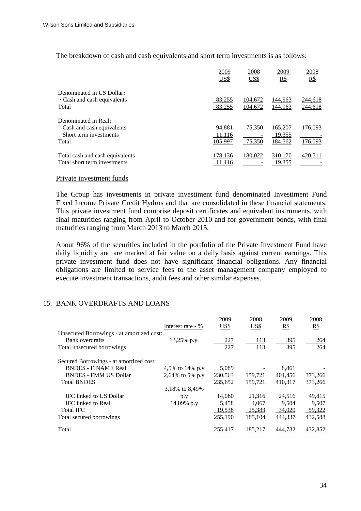The breakdown of cash and cash equivalents and short term investments is as follows:

|                                                                                      | 2009<br>US\$                | 2008<br>US\$       | 2009<br>R\$                  | 2008<br>R\$        |
|--------------------------------------------------------------------------------------|-----------------------------|--------------------|------------------------------|--------------------|
| Denominated in US Dollar:<br>$\cdot$ Cash and cash equivalents<br>Total              | 83,255<br>83,255            | 104,672<br>104,672 | 144,963<br>144,963           | 244,618<br>244,618 |
| Denominated in Real:<br>Cash and cash equivalents<br>Short term investments<br>Total | 94.881<br>11,116<br>105.997 | 75.350<br>75.350   | 165,207<br>19,355<br>184,562 | 176,093<br>176,093 |
| Total cash and cash equivalents<br>Total short term investments                      | 178.136                     | 180.022            | 310.170<br>19,355            | 420                |

#### Private investment funds

The Group has investments in private investiment fund denominated Investiment Fund Fixed Income Private Credit Hydrus and that are consolidated in these financial statements. This private investment fund comprise deposit certificates and equivalent instruments, with final maturities ranging from April to October 2010 and for government bonds, with final maturities ranging from March 2013 to March 2015.

About 96% of the securities included in the portfolio of the Private Investment Fund have daily liquidity and are marked at fair value on a daily basis against current earnings. This private investment fund does not have significant financial obligations. Any financial obligations are limited to service fees to the asset management company employed to execute investment transactions, audit fees and other similar expenses.

# 15. BANK OVERDRAFTS AND LOANS

|                                           |                   | 2009    | 2008    | 2009    | 2008    |
|-------------------------------------------|-------------------|---------|---------|---------|---------|
|                                           | Interest rate - % | US\$    | US\$    | R\$     | R\$     |
| Unsecured Borrowings - at amortized cost: |                   |         |         |         |         |
| Bank overdrafts                           | 13,25% p.y.       | 227     | 113     | 395     | 264     |
| Total unsecured borrowings                |                   | 227     | 113     | 395     | 264     |
| Secured Borrowings - at amortized cost:   |                   |         |         |         |         |
| <b>BNDES - FINAME Real</b>                | 4,5% to 14% p.y   | 5,089   |         | 8,861   |         |
| <b>BNDES - FMM US Dollar</b>              | 2,64% to 5% p.y   | 230,563 | 159,721 | 401,456 | 373,266 |
| <b>Total BNDES</b>                        |                   | 235,652 | 159,721 | 410,317 | 373,266 |
|                                           | 3,18% to 8,49%    |         |         |         |         |
| IFC linked to US Dollar                   | p.y               | 14,080  | 21,316  | 24,516  | 49,815  |
| <b>IFC</b> linked to Real                 | 14,09% p.y        | 5,458   | 4,067   | 9,504   | 9,507   |
| <b>Total IFC</b>                          |                   | 19,538  | 25,383  | 34,020  | 59,322  |
| Total secured borrowings                  |                   | 255,190 | 185,104 | 444,337 | 432,588 |
| Total                                     |                   | 255,417 | 185.217 | 444.732 | 432,852 |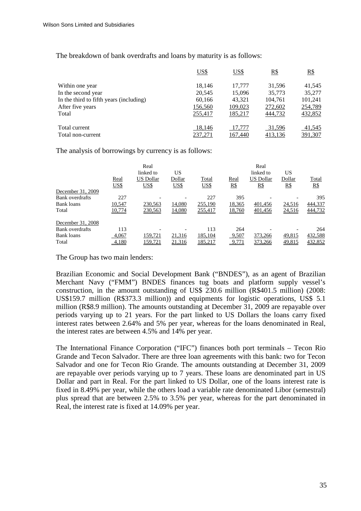The breakdown of bank overdrafts and loans by maturity is as follows:

|                                         | US\$    | US\$    | <u>R\$</u> | R\$     |
|-----------------------------------------|---------|---------|------------|---------|
| Within one year                         | 18.146  | 17.777  | 31.596     | 41.545  |
| In the second year                      | 20,545  | 15.096  | 35,773     | 35,277  |
| In the third to fifth years (including) | 60,166  | 43,321  | 104,761    | 101,241 |
| After five years                        | 156,560 | 109,023 | 272,602    | 254,789 |
| Total                                   | 255,417 | 185,217 | 444,732    | 432,852 |
| Total current                           | 18,146  | 17,777  | 31,596     | 41,545  |
| Total non-current                       | 237,271 | 167,440 | 413,136    | 391,307 |

The analysis of borrowings by currency is as follows:

|                   |        | Real             |        |         |            | Real             |        |         |
|-------------------|--------|------------------|--------|---------|------------|------------------|--------|---------|
|                   |        | linked to        | US     |         |            | linked to        | US     |         |
|                   | Real   | <b>US Dollar</b> | Dollar | Total   | Real       | <b>US Dollar</b> | Dollar | Total   |
|                   | US\$   | <u>US\$</u>      | US\$   | US\$    | <u>R\$</u> | <u>R\$</u>       | $R\$   | $R\$    |
| December 31, 2009 |        |                  |        |         |            |                  |        |         |
| Bank overdrafts   | 227    |                  |        | 227     | 395        |                  |        | 395     |
| Bank loans        | 10,547 | 230,563          | 14,080 | 255,190 | 18,365     | 401,456          | 24,516 | 444,337 |
| Total             | 10,774 | 230,563          | 14,080 | 255,417 | 18,760     | 401,456          | 24,516 | 444,732 |
| December 31, 2008 |        |                  |        |         |            |                  |        |         |
| Bank overdrafts   | 113    |                  |        | 113     | 264        |                  |        | 264     |
| Bank loans        | 4,067  | 159,721          | 21,316 | 185,104 | 9,507      | 373,266          | 49,815 | 432,588 |
| Total             | 4,180  | 159,721          | 21,316 | 185,217 | 9,771      | 373,266          | 49,815 | 432,852 |

The Group has two main lenders:

Brazilian Economic and Social Development Bank ("BNDES"), as an agent of Brazilian Merchant Navy ("FMM") BNDES finances tug boats and platform supply vessel's construction, in the amount outstanding of US\$ 230.6 million (R\$401.5 million) (2008: US\$159.7 million (R\$373.3 million)) and equipments for logistic operations, US\$ 5.1 million (R\$8.9 million). The amounts outstanding at December 31, 2009 are repayable over periods varying up to 21 years. For the part linked to US Dollars the loans carry fixed interest rates between 2.64% and 5% per year, whereas for the loans denominated in Real, the interest rates are between 4.5% and 14% per year.

The International Finance Corporation ("IFC") finances both port terminals – Tecon Rio Grande and Tecon Salvador. There are three loan agreements with this bank: two for Tecon Salvador and one for Tecon Rio Grande. The amounts outstanding at December 31, 2009 are repayable over periods varying up to 7 years. These loans are denominated part in US Dollar and part in Real. For the part linked to US Dollar, one of the loans interest rate is fixed in 8.49% per year, while the others load a variable rate denominated Libor (semestral) plus spread that are between 2.5% to 3.5% per year, whereas for the part denominated in Real, the interest rate is fixed at 14.09% per year.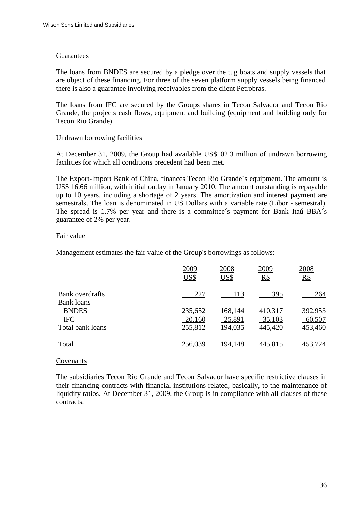#### Guarantees

The loans from BNDES are secured by a pledge over the tug boats and supply vessels that are object of these financing. For three of the seven platform supply vessels being financed there is also a guarantee involving receivables from the client Petrobras.

The loans from IFC are secured by the Groups shares in Tecon Salvador and Tecon Rio Grande, the projects cash flows, equipment and building (equipment and building only for Tecon Rio Grande).

# Undrawn borrowing facilities

At December 31, 2009, the Group had available US\$102.3 million of undrawn borrowing facilities for which all conditions precedent had been met.

The Export-Import Bank of China, finances Tecon Rio Grande´s equipment. The amount is US\$ 16.66 million, with initial outlay in January 2010. The amount outstanding is repayable up to 10 years, including a shortage of 2 years. The amortization and interest payment are semestrals. The loan is denominated in US Dollars with a variable rate (Libor - semestral). The spread is 1.7% per year and there is a committee´s payment for Bank Itaú BBA´s guarantee of 2% per year.

## Fair value

Management estimates the fair value of the Group's borrowings as follows:

|                                      | 2009<br>US\$      | 2008<br>US\$      | 2009<br>R\$       | 2008<br>R\$       |
|--------------------------------------|-------------------|-------------------|-------------------|-------------------|
| Bank overdrafts<br><b>Bank</b> loans | 227               | 113               | 395               | 264               |
| <b>BNDES</b><br><b>IFC</b>           | 235,652<br>20,160 | 168,144<br>25,891 | 410,317<br>35,103 | 392,953<br>60,507 |
| Total bank loans                     | 255,812           | 194,035           | 445,420           | 453,460           |
| Total                                | 256,039           | 194,148           | 445,815           | 453,724           |

#### Covenants

The subsidiaries Tecon Rio Grande and Tecon Salvador have specific restrictive clauses in their financing contracts with financial institutions related, basically, to the maintenance of liquidity ratios. At December 31, 2009, the Group is in compliance with all clauses of these contracts.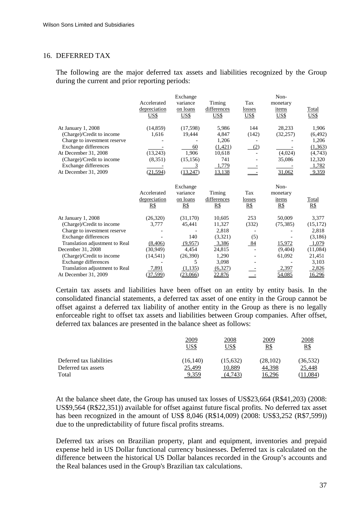#### 16. DEFERRED TAX

The following are the major deferred tax assets and liabilities recognized by the Group during the current and prior reporting periods:

|                                |              | Exchange          |                   |            | Non-                     |                                                |
|--------------------------------|--------------|-------------------|-------------------|------------|--------------------------|------------------------------------------------|
|                                | Accelerated  | variance          | Timing            | Tax        | monetary                 |                                                |
|                                | depreciation | on loans          | differences       | losses     | items                    | Total                                          |
|                                | <u>US\$</u>  | <u>US\$</u>       | <u>US\$</u>       | US\$       | US\$                     | US\$                                           |
| At January 1, 2008             | (14, 859)    | (17,598)          | 5,986             | 144        | 28,233                   | 1,906                                          |
| (Charge)/Credit to income      | 1,616        | 19,444            | 4,847             | (142)      | (32, 257)                | (6, 492)                                       |
| Charge to investment reserve   |              |                   | 1,206             |            |                          | 1,206                                          |
| Exchange differences           |              | 60                | (1,421)           | (2)        |                          | (1,363)                                        |
| At December 31, 2008           | (13,243)     | 1.906             | 10,618            |            | (4,024)                  | (4,743)                                        |
| (Charge)/Credit to income      | (8,351)      | (15, 156)         | 741               |            | 35,086                   | 12,320                                         |
| Exchange differences           |              | 3                 | 1,779             |            |                          | 1,782                                          |
| At December 31, 2009           | (21, 594)    | (13,247)          | 13,138            |            | 31,062                   | 9,359                                          |
|                                |              | Exchange          |                   |            | Non-                     |                                                |
|                                | Accelerated  | variance          | Timing            | Tax        | monetary                 |                                                |
|                                | depreciation | on loans          | differences       | losses     | items                    | Total                                          |
|                                | R\$          | $\underline{R\$}$ | $\underline{R\$}$ | <u>R\$</u> | $\underline{\mathbf{R}}$ | $\underline{\mathbf{R}}\underline{\mathbf{S}}$ |
| At January 1, 2008             | (26,320)     | (31,170)          | 10,605            | 253        | 50,009                   | 3,377                                          |
| (Charge)/Credit to income      | 3,777        | 45,441            | 11,327            | (332)      | (75, 385)                | (15, 172)                                      |
| Charge to investment reserve   |              |                   | 2,818             |            |                          | 2,818                                          |
| Exchange differences           |              | 140               | (3,321)           | (5)        |                          | (3,186)                                        |
| Translation adjustment to Real | (8,406)      | (9,957)           | 3,386             | 84         | 15,972                   | 1,079                                          |
| December 31, 2008              | (30,949)     | 4,454             | 24,815            |            | (9,404)                  | (11,084)                                       |
| (Charge)/Credit to income      | (14, 541)    | (26,390)          | 1,290             |            | 61,092                   | 21,451                                         |
| Exchange differences           |              | 5                 | 3,098             |            |                          | 3,103                                          |
| Translation adjustment to Real | 7,891        | (1,135)           | (6,327)           |            | 2,397                    | 2,826                                          |
| At December 31, 2009           | (37, 599)    | (23,066)          | 22,876            |            | 54,085                   | 16,296                                         |

Certain tax assets and liabilities have been offset on an entity by entity basis. In the consolidated financial statements, a deferred tax asset of one entity in the Group cannot be offset against a deferred tax liability of another entity in the Group as there is no legally enforceable right to offset tax assets and liabilities between Group companies. After offset, deferred tax balances are presented in the balance sheet as follows:

|                          | 2009<br>US\$ | 2008<br>US\$ | 2009<br><u>R\$</u> | 2008<br>$R\$ |
|--------------------------|--------------|--------------|--------------------|--------------|
| Deferred tax liabilities | (16, 140)    | (15,632)     | (28, 102)          | (36, 532)    |
| Deferred tax assets      | 25,499       | 10,889       | 44,398             | 25,448       |
| Total                    | 9,359        | (4.743)      | 6.296              | 0.084        |

At the balance sheet date, the Group has unused tax losses of US\$23,664 (R\$41,203) (2008: US\$9,564 (R\$22,351)) available for offset against future fiscal profits. No deferred tax asset has been recognized in the amount of US\$ 8,046 (R\$14,009) (2008: US\$3,252 (R\$7,599)) due to the unpredictability of future fiscal profits streams.

Deferred tax arises on Brazilian property, plant and equipment, inventories and prepaid expense held in US Dollar functional currency businesses. Deferred tax is calculated on the difference between the historical US Dollar balances recorded in the Group's accounts and the Real balances used in the Group's Brazilian tax calculations.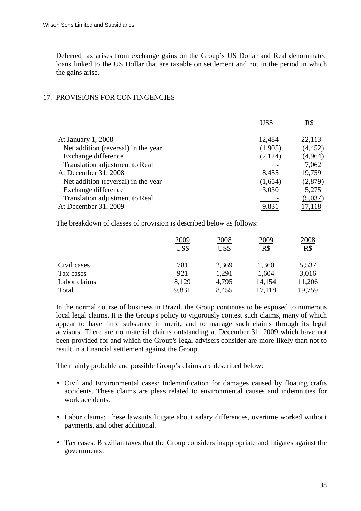Deferred tax arises from exchange gains on the Group's US Dollar and Real denominated loans linked to the US Dollar that are taxable on settlement and not in the period in which the gains arise.

# 17. PROVISIONS FOR CONTINGENCIES

| 12,484<br>At January 1, 2008                   | 22,113   |
|------------------------------------------------|----------|
| Net addition (reversal) in the year<br>(1,905) | (4, 452) |
| Exchange difference<br>(2,124)                 | (4,964)  |
| Translation adjustment to Real                 | 7,062    |
| At December 31, 2008<br>8,455                  | 19,759   |
| Net addition (reversal) in the year<br>(1,654) | (2,879)  |
| 3,030<br>Exchange difference                   | 5,275    |
| Translation adjustment to Real                 | (5,037)  |
| At December 31, 2009                           |          |

The breakdown of classes of provision is described below as follows:

|              | 2009  | 2008  | 2009   | 2008   |
|--------------|-------|-------|--------|--------|
|              | US\$  | US\$  | R\$    | $R\$   |
| Civil cases  | 781   | 2,369 | 1,360  | 5,537  |
| Tax cases    | 921   | 1,291 | 1,604  | 3,016  |
| Labor claims | 8,129 | 4,795 | 14,154 | 11,206 |
| Total        | 9,83. | 8,455 |        | 19,759 |

In the normal course of business in Brazil, the Group continues to be exposed to numerous local legal claims. It is the Group's policy to vigorously contest such claims, many of which appear to have little substance in merit, and to manage such claims through its legal advisors. There are no material claims outstanding at December 31, 2009 which have not been provided for and which the Group's legal advisers consider are more likely than not to result in a financial settlement against the Group.

The mainly probable and possible Group's claims are described below:

- Civil and Environmental cases: Indemnification for damages caused by floating crafts accidents. These claims are pleas related to environmental causes and indemnities for work accidents.
- Labor claims: These lawsuits litigate about salary differences, overtime worked without payments, and other additional.
- Tax cases: Brazilian taxes that the Group considers inappropriate and litigates against the governments.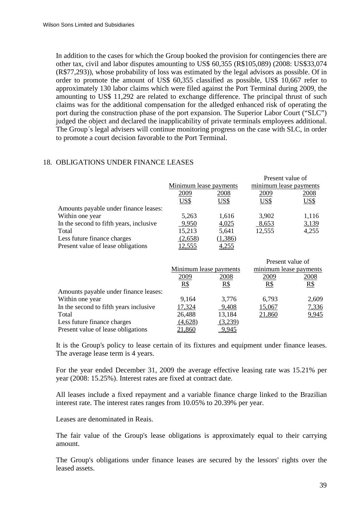In addition to the cases for which the Group booked the provision for contingencies there are other tax, civil and labor disputes amounting to US\$ 60,355 (R\$105,089) (2008: US\$33,074 (R\$77,293)), whose probability of loss was estimated by the legal advisors as possible. Of in order to promote the amount of US\$ 60,355 classified as possible, US\$ 10,667 refer to approximately 130 labor claims which were filed against the Port Terminal during 2009, the amounting to US\$ 11,292 are related to exchange difference. The principal thrust of such claims was for the additional compensation for the alledged enhanced risk of operating the port during the construction phase of the port expansion. The Superior Labor Court ("SLC") judged the object and declared the inapplicability of private terminals employees additional. The Group´s legal advisers will continue monitoring progress on the case with SLC, in order to promote a court decision favorable to the Port Terminal.

# 18. OBLIGATIONS UNDER FINANCE LEASES

|                                         | Minimum lease payments |         | Present value of<br>minimum lease payments |       |
|-----------------------------------------|------------------------|---------|--------------------------------------------|-------|
|                                         | 2009<br>2008           |         | 2009                                       | 2008  |
|                                         | US\$                   | US\$    | US\$                                       | US\$  |
| Amounts payable under finance leases:   |                        |         |                                            |       |
| Within one year                         | 5,263                  | 1,616   | 3.902                                      | 1,116 |
| In the second to fifth years, inclusive | 9,950                  | 4,025   | 8,653                                      | 3,139 |
| Total                                   | 15,213                 | 5,641   | 12,555                                     | 4,255 |
| Less future finance charges             | (2,658)                | (1,386) |                                            |       |
| Present value of lease obligations      | 2.555                  | 1255    |                                            |       |

|                                        |                        |         | Present value of       |       |  |
|----------------------------------------|------------------------|---------|------------------------|-------|--|
|                                        | Minimum lease payments |         | minimum lease payments |       |  |
|                                        | 2009                   | 2008    | 2009                   | 2008  |  |
|                                        | R\$                    | $R\$    | R\$                    | R\$   |  |
| Amounts payable under finance leases:  |                        |         |                        |       |  |
| Within one year                        | 9,164                  | 3,776   | 6,793                  | 2,609 |  |
| In the second to fifth years inclusive | 17,324                 | 9,408   | 15,067                 | 7,336 |  |
| Total                                  | 26,488                 | 13,184  | 21,860                 | 9,945 |  |
| Less future finance charges            | (4,628)                | (3,239) |                        |       |  |
| Present value of lease obligations     | 21.860                 | 9.945   |                        |       |  |

It is the Group's policy to lease certain of its fixtures and equipment under finance leases. The average lease term is 4 years.

For the year ended December 31, 2009 the average effective leasing rate was 15.21% per year (2008: 15.25%). Interest rates are fixed at contract date.

All leases include a fixed repayment and a variable finance charge linked to the Brazilian interest rate. The interest rates ranges from 10.05% to 20.39% per year.

Leases are denominated in Reais.

The fair value of the Group's lease obligations is approximately equal to their carrying amount.

The Group's obligations under finance leases are secured by the lessors' rights over the leased assets.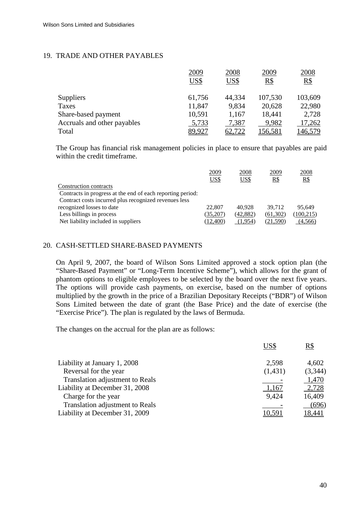# 19. TRADE AND OTHER PAYABLES

|                             | 2009   | 2008   | 2009           | 2008    |
|-----------------------------|--------|--------|----------------|---------|
|                             | US\$   | US\$   | $R\$           | R\$     |
| <b>Suppliers</b>            | 61,756 | 44,334 | 107,530        | 103,609 |
| Taxes                       | 11,847 | 9,834  | 20,628         | 22,980  |
| Share-based payment         | 10,591 | 1,167  | 18,441         | 2,728   |
| Accruals and other payables | 5,733  | 7,387  | 9,982          | 17,262  |
| Total                       | 89,92' | 52,722 | <u>156,581</u> | 46,579  |

The Group has financial risk management policies in place to ensure that payables are paid within the credit timeframe.

| 2009      | 2008     | 2009      | 2008       |
|-----------|----------|-----------|------------|
| US\$      | US\$     | R\$       | R\$        |
|           |          |           |            |
|           |          |           |            |
|           |          |           |            |
| 22,807    | 40.928   | 39.712    | 95.649     |
| (35,207)  | (42,882) | (61, 302) | (100, 215) |
| (12, 400) | (1,954)  | (21.590)  | (4,566)    |
|           |          |           |            |

# 20. CASH-SETTLED SHARE-BASED PAYMENTS

On April 9, 2007, the board of Wilson Sons Limited approved a stock option plan (the "Share-Based Payment" or "Long-Term Incentive Scheme"), which allows for the grant of phantom options to eligible employees to be selected by the board over the next five years. The options will provide cash payments, on exercise, based on the number of options multiplied by the growth in the price of a Brazilian Depositary Receipts ("BDR") of Wilson Sons Limited between the date of grant (the Base Price) and the date of exercise (the "Exercise Price"). The plan is regulated by the laws of Bermuda.

The changes on the accrual for the plan are as follows:

|                                 | US\$    | $R\$    |
|---------------------------------|---------|---------|
| Liability at January 1, 2008    | 2,598   | 4,602   |
| Reversal for the year           | (1,431) | (3,344) |
| Translation adjustment to Reals |         | 1,470   |
| Liability at December 31, 2008  | 1,167   | 2,728   |
| Charge for the year             | 9,424   | 16,409  |
| Translation adjustment to Reals |         | (696)   |
| Liability at December 31, 2009  | 10.591  | 18,441  |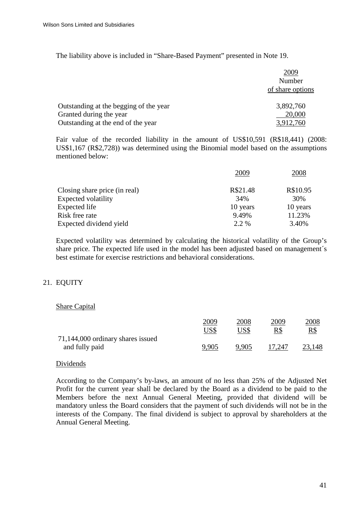The liability above is included in "Share-Based Payment" presented in Note 19.

|                                        | 2009             |
|----------------------------------------|------------------|
|                                        | Number           |
|                                        | of share options |
| Outstanding at the begging of the year | 3,892,760        |
| Granted during the year                | 20,000           |
| Outstanding at the end of the year     | 3,912,760        |

Fair value of the recorded liability in the amount of US\$10,591 (R\$18,441) (2008: US\$1,167 (R\$2,728)) was determined using the Binomial model based on the assumptions mentioned below:

|                               | 2009     | 2008     |
|-------------------------------|----------|----------|
| Closing share price (in real) | R\$21.48 | R\$10.95 |
| <b>Expected volatility</b>    | 34%      | 30%      |
| Expected life                 | 10 years | 10 years |
| Risk free rate                | 9.49%    | 11.23%   |
| Expected dividend yield       | 2.2 %    | 3.40%    |

Expected volatility was determined by calculating the historical volatility of the Group's share price. The expected life used in the model has been adjusted based on management´s best estimate for exercise restrictions and behavioral considerations.

# 21. EQUITY

# Share Capital

|                                   | 2009  | 2008  | 2009   | 2008       |
|-----------------------------------|-------|-------|--------|------------|
|                                   | US\$  | US\$  | R\$    | <u>R\$</u> |
| 71,144,000 ordinary shares issued |       |       |        |            |
| and fully paid                    | 9.905 | 9.905 | 17.247 | 23,148     |

#### Dividends

According to the Company's by-laws, an amount of no less than 25% of the Adjusted Net Profit for the current year shall be declared by the Board as a dividend to be paid to the Members before the next Annual General Meeting, provided that dividend will be mandatory unless the Board considers that the payment of such dividends will not be in the interests of the Company. The final dividend is subject to approval by shareholders at the Annual General Meeting.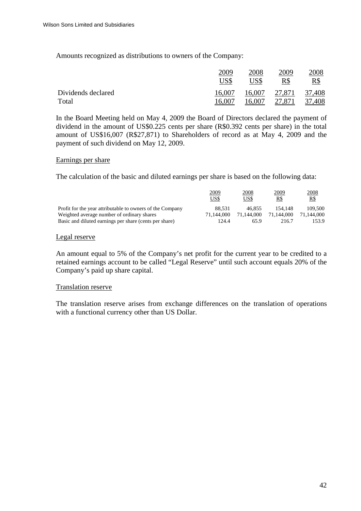Amounts recognized as distributions to owners of the Company:

|                    | 2009   | 2008   | 2009   | 2008   |
|--------------------|--------|--------|--------|--------|
|                    | US\$   | US\$   | R\$    | R\$    |
| Dividends declared | 16.007 | 16,007 | 27,871 | 37,408 |
| Total              | 16,007 | 16,007 | 27,871 | 37,408 |

In the Board Meeting held on May 4, 2009 the Board of Directors declared the payment of dividend in the amount of US\$0.225 cents per share (R\$0.392 cents per share) in the total amount of US\$16,007 (R\$27,871) to Shareholders of record as at May 4, 2009 and the payment of such dividend on May 12, 2009.

#### Earnings per share

The calculation of the basic and diluted earnings per share is based on the following data:

|                                                           | 2009<br>US\$ | 2008<br>US\$ | <u>2009</u><br>R\$ | 2008<br>R\$ |
|-----------------------------------------------------------|--------------|--------------|--------------------|-------------|
| Profit for the year attributable to owners of the Company | 88.531       | 46.855       | 154.148            | 109.500     |
| Weighted average number of ordinary shares                | 71.144.000   | 71.144.000   | 71,144,000         | 71.144.000  |
| Basic and diluted earnings per share (cents per share)    | 124.4        | 65.9         | 216.7              | 153.9       |

## Legal reserve

An amount equal to 5% of the Company's net profit for the current year to be credited to a retained earnings account to be called "Legal Reserve" until such account equals 20% of the Company's paid up share capital.

# Translation reserve

The translation reserve arises from exchange differences on the translation of operations with a functional currency other than US Dollar.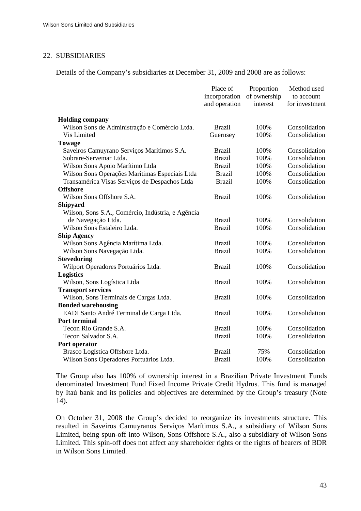## 22. SUBSIDIARIES

Details of the Company's subsidiaries at December 31, 2009 and 2008 are as follows:

|                                                   | Place of<br>incorporation<br>and operation | Proportion<br>of ownership<br>interest | Method used<br>to account<br>for investment |
|---------------------------------------------------|--------------------------------------------|----------------------------------------|---------------------------------------------|
| <b>Holding company</b>                            |                                            |                                        |                                             |
| Wilson Sons de Administração e Comércio Ltda.     | <b>Brazil</b>                              | 100%                                   | Consolidation                               |
| Vis Limited                                       | Guernsey                                   | 100%                                   | Consolidation                               |
| <b>Towage</b>                                     |                                            |                                        |                                             |
| Saveiros Camuyrano Serviços Marítimos S.A.        | <b>Brazil</b>                              | 100%                                   | Consolidation                               |
| Sobrare-Servemar Ltda.                            | <b>Brazil</b>                              | 100%                                   | Consolidation                               |
| Wilson Sons Apoio Marítimo Ltda                   | <b>Brazil</b>                              | 100%                                   | Consolidation                               |
| Wilson Sons Operações Marítimas Especiais Ltda    | <b>Brazil</b>                              | 100%                                   | Consolidation                               |
| Transamérica Visas Serviços de Despachos Ltda     | <b>Brazil</b>                              | 100%                                   | Consolidation                               |
| <b>Offshore</b>                                   |                                            |                                        |                                             |
| Wilson Sons Offshore S.A.                         | <b>Brazil</b>                              | 100%                                   | Consolidation                               |
| <b>Shipyard</b>                                   |                                            |                                        |                                             |
| Wilson, Sons S.A., Comércio, Indústria, e Agência |                                            |                                        |                                             |
| de Navegação Ltda.                                | <b>Brazil</b>                              | 100%                                   | Consolidation                               |
| Wilson Sons Estaleiro Ltda.                       | <b>Brazil</b>                              | 100%                                   | Consolidation                               |
| <b>Ship Agency</b>                                |                                            |                                        |                                             |
| Wilson Sons Agência Marítima Ltda.                | <b>Brazil</b>                              | 100%                                   | Consolidation                               |
| Wilson Sons Navegação Ltda.                       | <b>Brazil</b>                              | 100%                                   | Consolidation                               |
| <b>Stevedoring</b>                                |                                            |                                        |                                             |
| Wilport Operadores Portuários Ltda.               | <b>Brazil</b>                              | 100%                                   | Consolidation                               |
| <b>Logistics</b>                                  |                                            |                                        |                                             |
| Wilson, Sons Logística Ltda                       | <b>Brazil</b>                              | 100%                                   | Consolidation                               |
| <b>Transport services</b>                         |                                            |                                        |                                             |
| Wilson, Sons Terminais de Cargas Ltda.            | <b>Brazil</b>                              | 100%                                   | Consolidation                               |
| <b>Bonded warehousing</b>                         |                                            |                                        |                                             |
| EADI Santo André Terminal de Carga Ltda.          | <b>Brazil</b>                              | 100%                                   | Consolidation                               |
| <b>Port terminal</b>                              |                                            |                                        |                                             |
| Tecon Rio Grande S.A.                             | <b>Brazil</b>                              | 100%                                   | Consolidation                               |
| Tecon Salvador S.A.                               | <b>Brazil</b>                              | 100%                                   | Consolidation                               |
| Port operator                                     |                                            |                                        |                                             |
| Brasco Logística Offshore Ltda.                   | <b>Brazil</b>                              | 75%                                    | Consolidation                               |
| Wilson Sons Operadores Portuários Ltda.           | <b>Brazil</b>                              | 100%                                   | Consolidation                               |

The Group also has 100% of ownership interest in a Brazilian Private Investment Funds denominated Investment Fund Fixed Income Private Credit Hydrus. This fund is managed by Itaú bank and its policies and objectives are determined by the Group's treasury (Note 14).

On October 31, 2008 the Group's decided to reorganize its investments structure. This resulted in Saveiros Camuyranos Serviços Marítimos S.A., a subsidiary of Wilson Sons Limited, being spun-off into Wilson, Sons Offshore S.A., also a subsidiary of Wilson Sons Limited. This spin-off does not affect any shareholder rights or the rights of bearers of BDR in Wilson Sons Limited.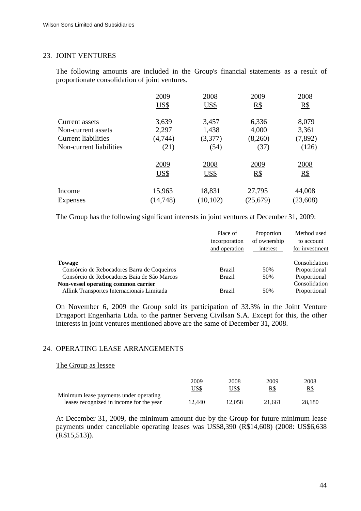## 23. JOINT VENTURES

The following amounts are included in the Group's financial statements as a result of proportionate consolidation of joint ventures.

|                            | 2009      | 2008        | 2009      | 2008              |
|----------------------------|-----------|-------------|-----------|-------------------|
|                            | US\$      | <b>US\$</b> | R\$       | $\underline{R\$}$ |
| Current assets             | 3,639     | 3,457       | 6,336     | 8,079             |
| Non-current assets         | 2,297     | 1,438       | 4,000     | 3,361             |
| <b>Current liabilities</b> | (4, 744)  | (3,377)     | (8,260)   | (7,892)           |
| Non-current liabilities    | (21)      | (54)        | (37)      | (126)             |
|                            | 2009      | 2008        | 2009      | 2008              |
|                            | US\$      | US\$        | R\$       | $R\$              |
| Income                     | 15,963    | 18,831      | 27,795    | 44,008            |
| Expenses                   | (14, 748) | (10, 102)   | (25, 679) | (23,608)          |

The Group has the following significant interests in joint ventures at December 31, 2009:

|                                             | Place of      | Proportion   | Method used    |
|---------------------------------------------|---------------|--------------|----------------|
|                                             | incorporation | of ownership | to account     |
|                                             | and operation | interest     | for investment |
| Towage                                      |               |              | Consolidation  |
| Consórcio de Rebocadores Barra de Coqueiros | <b>Brazil</b> | 50%          | Proportional   |
| Consórcio de Rebocadores Baia de São Marcos | <b>Brazil</b> | 50%          | Proportional   |
| Non-vessel operating common carrier         |               |              | Consolidation  |
| Allink Transportes Internacionais Limitada  | <b>Brazil</b> | 50%          | Proportional   |

On November 6, 2009 the Group sold its participation of 33.3% in the Joint Venture Dragaport Engenharia Ltda. to the partner Serveng Civilsan S.A. Except for this, the other interests in joint ventures mentioned above are the same of December 31, 2008.

## 24. OPERATING LEASE ARRANGEMENTS

#### The Group as lessee

|                                          | 2009<br>US\$ | <u> 2008 </u><br>US\$ | 2009<br>R\$ | <u>2008</u><br>$R\$ |
|------------------------------------------|--------------|-----------------------|-------------|---------------------|
| Minimum lease payments under operating   |              |                       |             |                     |
| leases recognized in income for the year | 12.440       | 12.058                | 21.661      | 28.180              |

At December 31, 2009, the minimum amount due by the Group for future minimum lease payments under cancellable operating leases was US\$8,390 (R\$14,608) (2008: US\$6,638 (R\$15,513)).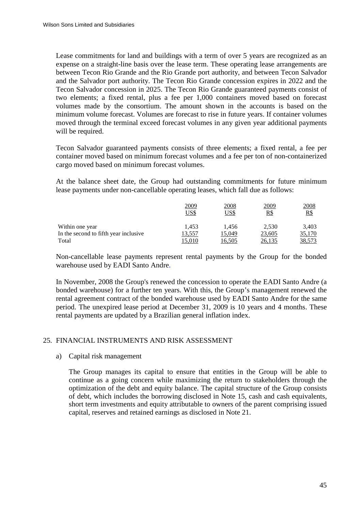Lease commitments for land and buildings with a term of over 5 years are recognized as an expense on a straight-line basis over the lease term. These operating lease arrangements are between Tecon Rio Grande and the Rio Grande port authority, and between Tecon Salvador and the Salvador port authority. The Tecon Rio Grande concession expires in 2022 and the Tecon Salvador concession in 2025. The Tecon Rio Grande guaranteed payments consist of two elements; a fixed rental, plus a fee per 1,000 containers moved based on forecast volumes made by the consortium. The amount shown in the accounts is based on the minimum volume forecast. Volumes are forecast to rise in future years. If container volumes moved through the terminal exceed forecast volumes in any given year additional payments will be required.

Tecon Salvador guaranteed payments consists of three elements; a fixed rental, a fee per container moved based on minimum forecast volumes and a fee per ton of non-containerized cargo moved based on minimum forecast volumes.

At the balance sheet date, the Group had outstanding commitments for future minimum lease payments under non-cancellable operating leases, which fall due as follows:

|                                       | <u> 2009</u><br>US\$ | <b>2008</b><br>US\$ | 2009<br><u>R\$</u> | <u>2008</u><br>$R\$ |
|---------------------------------------|----------------------|---------------------|--------------------|---------------------|
| Within one year                       | 1.453                | 1.456               | 2.530              | 3,403               |
| In the second to fifth year inclusive | 13,557               | 5.049               | 23,605             | 35,170              |
| Total                                 | 5.010                | 6.505               |                    | 38,573              |

Non-cancellable lease payments represent rental payments by the Group for the bonded warehouse used by EADI Santo Andre.

In November, 2008 the Group's renewed the concession to operate the EADI Santo Andre (a bonded warehouse) for a further ten years. With this, the Group's management renewed the rental agreement contract of the bonded warehouse used by EADI Santo Andre for the same period. The unexpired lease period at December 31, 2009 is 10 years and 4 months. These rental payments are updated by a Brazilian general inflation index.

# 25. FINANCIAL INSTRUMENTS AND RISK ASSESSMENT

#### a) Capital risk management

The Group manages its capital to ensure that entities in the Group will be able to continue as a going concern while maximizing the return to stakeholders through the optimization of the debt and equity balance. The capital structure of the Group consists of debt, which includes the borrowing disclosed in Note 15, cash and cash equivalents, short term investments and equity attributable to owners of the parent comprising issued capital, reserves and retained earnings as disclosed in Note 21.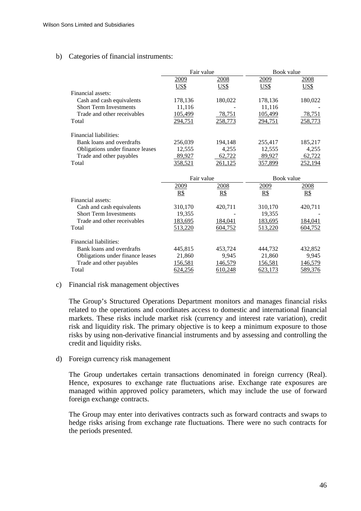## b) Categories of financial instruments:

|                                  | Fair value |             | Book value         |                |
|----------------------------------|------------|-------------|--------------------|----------------|
|                                  | 2009       | <u>2008</u> | 2009               | <u>2008</u>    |
|                                  | US\$       | <u>US\$</u> | US\$               | US\$           |
| Financial assets:                |            |             |                    |                |
| Cash and cash equivalents        | 178,136    | 180,022     | 178,136            | 180,022        |
| <b>Short Term Investments</b>    | 11,116     |             | 11,116             |                |
| Trade and other receivables      | 105,499    | 78,751      | 105,499            | 78,751         |
| Total                            | 294,751    | 258,773     | 294,751            | 258,773        |
|                                  |            |             |                    |                |
| Financial liabilities:           |            |             |                    |                |
| Bank loans and overdrafts        | 256,039    | 194,148     | 255,417            | 185,217        |
| Obligations under finance leases | 12,555     | 4,255       | 12,555             | 4,255          |
| Trade and other payables         | 89,927     | 62,722      | 89,927             | 62,722         |
| Total                            | 358,521    | 261,125     | 357,899            | 252,194        |
|                                  |            |             |                    |                |
|                                  | Fair value |             | Book value         |                |
|                                  | 2009       | 2008        | 2009               | 2008           |
|                                  | R\$        | R\$         | R\$                | R\$            |
| Financial assets:                |            |             |                    |                |
| Cash and cash equivalents        | 310,170    | 420,711     | 310,170            | 420,711        |
| <b>Short Term Investments</b>    | 19,355     |             | 19,355             |                |
| Trade and other receivables      | 183,695    | 184,041     | 183,695            | <u>184,041</u> |
| Total                            |            |             |                    |                |
|                                  | 513,220    | 604,752     | 513,220            | 604,752        |
|                                  |            |             |                    |                |
| Financial liabilities:           |            |             |                    |                |
| Bank loans and overdrafts        | 445,815    | 453,724     | 444,732            | 432,852        |
| Obligations under finance leases | 21,860     | 9,945       | 21,860             | 9,945          |
| Trade and other payables         | 156,581    | 146,579     | 156,581<br>623,173 | 146,579        |

## c) Financial risk management objectives

The Group's Structured Operations Department monitors and manages financial risks related to the operations and coordinates access to domestic and international financial markets. These risks include market risk (currency and interest rate variation), credit risk and liquidity risk. The primary objective is to keep a minimum exposure to those risks by using non-derivative financial instruments and by assessing and controlling the credit and liquidity risks.

#### d) Foreign currency risk management

The Group undertakes certain transactions denominated in foreign currency (Real). Hence, exposures to exchange rate fluctuations arise. Exchange rate exposures are managed within approved policy parameters, which may include the use of forward foreign exchange contracts.

The Group may enter into derivatives contracts such as forward contracts and swaps to hedge risks arising from exchange rate fluctuations. There were no such contracts for the periods presented.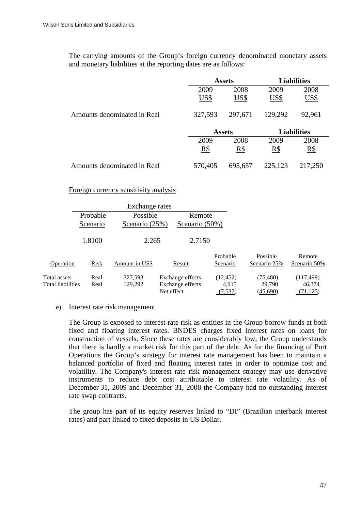The carrying amounts of the Group's foreign currency denominated monetary assets and monetary liabilities at the reporting dates are as follows:

|                             | <b>Assets</b> |         | <b>Liabilities</b> |                    |
|-----------------------------|---------------|---------|--------------------|--------------------|
|                             | 2009          | 2008    | 2009               | 2008               |
|                             | US\$          | US\$    | US\$               | <b>US\$</b>        |
| Amounts denominated in Real | 327,593       | 297,671 | 129,292            | 92,961             |
|                             | <b>Assets</b> |         |                    | <b>Liabilities</b> |
|                             | 2009          | 2008    | 2009               | 2008               |
|                             | R\$           | R\$     | R\$                | R\$                |
| Amounts denominated in Real | 570,405       | 695,657 | 225,123            | 217,250            |

Foreign currency sensitivity analysis

|                   |             | Exchange rates |                  |                      |                          |                        |
|-------------------|-------------|----------------|------------------|----------------------|--------------------------|------------------------|
|                   | Probable    | Possible       | Remote           |                      |                          |                        |
|                   | Scenario    | Scenario (25%) | Scenario (50%)   |                      |                          |                        |
|                   | 1.8100      | 2.265          | 2.7150           |                      |                          |                        |
| Operation         | <b>Risk</b> | Amount in US\$ | Result           | Probable<br>Scenario | Possible<br>Scenario 25% | Remote<br>Scenario 50% |
| Total assets      | Real        | 327,593        | Exchange effects | (12, 452)            | (75, 480)                | (117, 499)             |
| Total liabilities | Real        | 129,292        | Exchange effects | 4,915                | 29,790                   | 46,374                 |
|                   |             |                | Net effect       | (7,537)              | (45,690)                 | (71, 125)              |

#### e) Interest rate risk management

The Group is exposed to interest rate risk as entities in the Group borrow funds at both fixed and floating interest rates. BNDES charges fixed interest rates on loans for construction of vessels. Since these rates are considerably low, the Group understands that there is hardly a market risk for this part of the debt. As for the financing of Port Operations the Group's strategy for interest rate management has been to maintain a balanced portfolio of fixed and floating interest rates in order to optimize cost and volatility. The Company's interest rate risk management strategy may use derivative instruments to reduce debt cost attributable to interest rate volatility. As of December 31, 2009 and December 31, 2008 the Company had no outstanding interest rate swap contracts.

The group has part of its equity reserves linked to "DI" (Brazilian interbank interest rates) and part linked to fixed deposits in US Dollar.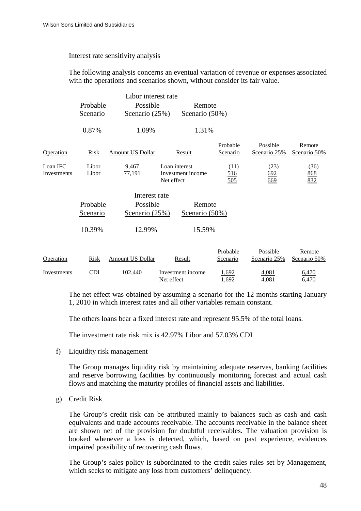#### Interest rate sensitivity analysis

The following analysis concerns an eventual variation of revenue or expenses associated with the operations and scenarios shown, without consider its fair value.

|             |                                | Libor interest rate     |                                 |                |                |                |
|-------------|--------------------------------|-------------------------|---------------------------------|----------------|----------------|----------------|
|             | Possible<br>Probable<br>Remote |                         |                                 |                |                |                |
|             | Scenario                       | Scenario (25%)          | Scenario (50%)                  |                |                |                |
|             | 0.87%                          | 1.09%                   | 1.31%                           |                |                |                |
|             |                                |                         |                                 | Probable       | Possible       | Remote         |
| Operation   | <b>Risk</b>                    | <b>Amount US Dollar</b> | Result                          | Scenario       | Scenario 25%   | Scenario 50%   |
| Loan IFC    | Libor                          | 9,467                   | Loan interest                   | (11)           | (23)           | (36)           |
| Investments | Libor                          | 77,191                  | Investment income               | <u>516</u>     | 692            | 868            |
|             |                                |                         | Net effect                      | 505            | 669            | 832            |
|             |                                |                         |                                 |                |                |                |
|             | Probable                       | Possible                | Remote                          |                |                |                |
|             | <b>Scenario</b>                | Scenario (25%)          | Scenario (50%)                  |                |                |                |
|             | 10.39%                         | 12.99%                  | 15.59%                          |                |                |                |
|             |                                |                         |                                 | Probable       | Possible       | Remote         |
| Operation   | Risk                           | <b>Amount US Dollar</b> | Result                          | Scenario       | Scenario 25%   | Scenario 50%   |
| Investments | <b>CDI</b>                     | 102,440                 | Investment income<br>Net effect | 1,692<br>1,692 | 4,081<br>4,081 | 6,470<br>6,470 |

The net effect was obtained by assuming a scenario for the 12 months starting January 1, 2010 in which interest rates and all other variables remain constant.

The others loans bear a fixed interest rate and represent 95.5% of the total loans.

The investment rate risk mix is 42.97% Libor and 57.03% CDI

f) Liquidity risk management

The Group manages liquidity risk by maintaining adequate reserves, banking facilities and reserve borrowing facilities by continuously monitoring forecast and actual cash flows and matching the maturity profiles of financial assets and liabilities.

g) Credit Risk

The Group's credit risk can be attributed mainly to balances such as cash and cash equivalents and trade accounts receivable. The accounts receivable in the balance sheet are shown net of the provision for doubtful receivables. The valuation provision is booked whenever a loss is detected, which, based on past experience, evidences impaired possibility of recovering cash flows.

The Group's sales policy is subordinated to the credit sales rules set by Management, which seeks to mitigate any loss from customers' delinquency.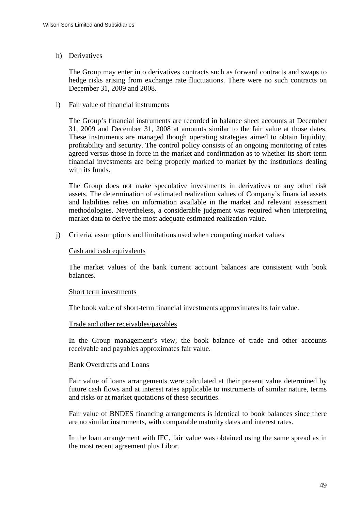# h) Derivatives

The Group may enter into derivatives contracts such as forward contracts and swaps to hedge risks arising from exchange rate fluctuations. There were no such contracts on December 31, 2009 and 2008.

i) Fair value of financial instruments

The Group's financial instruments are recorded in balance sheet accounts at December 31, 2009 and December 31, 2008 at amounts similar to the fair value at those dates. These instruments are managed though operating strategies aimed to obtain liquidity, profitability and security. The control policy consists of an ongoing monitoring of rates agreed versus those in force in the market and confirmation as to whether its short-term financial investments are being properly marked to market by the institutions dealing with its funds.

The Group does not make speculative investments in derivatives or any other risk assets. The determination of estimated realization values of Company's financial assets and liabilities relies on information available in the market and relevant assessment methodologies. Nevertheless, a considerable judgment was required when interpreting market data to derive the most adequate estimated realization value.

j) Criteria, assumptions and limitations used when computing market values

## Cash and cash equivalents

The market values of the bank current account balances are consistent with book balances.

#### Short term investments

The book value of short-term financial investments approximates its fair value.

#### Trade and other receivables/payables

In the Group management's view, the book balance of trade and other accounts receivable and payables approximates fair value.

#### Bank Overdrafts and Loans

Fair value of loans arrangements were calculated at their present value determined by future cash flows and at interest rates applicable to instruments of similar nature, terms and risks or at market quotations of these securities.

Fair value of BNDES financing arrangements is identical to book balances since there are no similar instruments, with comparable maturity dates and interest rates.

In the loan arrangement with IFC, fair value was obtained using the same spread as in the most recent agreement plus Libor.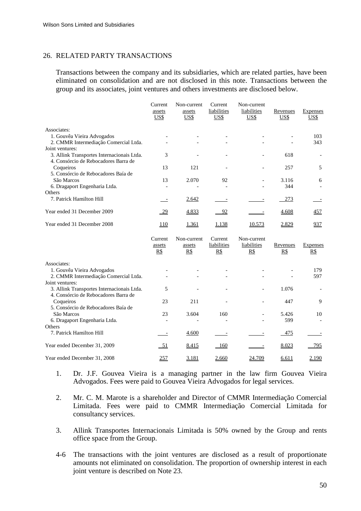## 26. RELATED PARTY TRANSACTIONS

Transactions between the company and its subsidiaries, which are related parties, have been eliminated on consolidation and are not disclosed in this note. Transactions between the group and its associates, joint ventures and others investments are disclosed below.

|                                            | Current<br>assets<br>US\$ | Non-current<br>assets<br>US\$ | Current<br>liabilities<br>US\$ | Non-current<br>liabilities<br>US\$ | Revenues<br>US\$ | <b>Expenses</b><br>US\$ |
|--------------------------------------------|---------------------------|-------------------------------|--------------------------------|------------------------------------|------------------|-------------------------|
| Associates:                                |                           |                               |                                |                                    |                  |                         |
| 1. Gouvêa Vieira Advogados                 |                           |                               |                                |                                    |                  | 103                     |
| 2. CMMR Intermediação Comercial Ltda.      |                           |                               |                                |                                    |                  | 343                     |
| Joint ventures:                            |                           |                               |                                |                                    |                  |                         |
| 3. Allink Transportes Internacionais Ltda. | 3                         |                               |                                |                                    | 618              |                         |
| 4. Consórcio de Rebocadores Barra de       |                           |                               |                                |                                    |                  |                         |
| Coqueiros                                  | 13                        | 121                           |                                |                                    | 257              | 5                       |
| 5. Consórcio de Rebocadores Baía de        |                           |                               |                                |                                    |                  |                         |
| São Marcos                                 | 13                        | 2.070                         | 92                             |                                    | 3.116            | 6                       |
| 6. Dragaport Engenharia Ltda.              |                           |                               |                                |                                    | 344              |                         |
| Others                                     |                           |                               |                                |                                    |                  |                         |
| 7. Patrick Hamilton Hill                   |                           | 2.642                         |                                |                                    | 273              |                         |
| Year ended 31 December 2009                | $\frac{29}{2}$            | 4.833                         | 92                             |                                    | 4.608            | 457                     |
| Year ended 31 December 2008                | <u> 110</u>               | 1.361                         | 1.138                          | 10.573                             | 2.829            | <u>937</u>              |

|                                            | Current<br>assets<br>$_{\rm RS}$ | Non-current<br>assets<br><u>R\$</u> | Current<br>liabilities<br><u>R\$</u> | Non-current<br>liabilities<br><u>R\$</u> | Revenues<br>$_{\rm RS}$ | <b>Expenses</b><br>$_{\rm RS}$ |
|--------------------------------------------|----------------------------------|-------------------------------------|--------------------------------------|------------------------------------------|-------------------------|--------------------------------|
| Associates:                                |                                  |                                     |                                      |                                          |                         |                                |
| 1. Gouvêa Vieira Advogados                 |                                  |                                     |                                      |                                          |                         | 179                            |
| 2. CMMR Intermediação Comercial Ltda.      |                                  |                                     |                                      |                                          |                         | 597                            |
| Joint ventures:                            |                                  |                                     |                                      |                                          |                         |                                |
| 3. Allink Transportes Internacionais Ltda. | 5                                |                                     |                                      |                                          | 1.076                   |                                |
| 4. Consórcio de Rebocadores Barra de       |                                  |                                     |                                      |                                          |                         |                                |
| Coqueiros                                  | 23                               | 211                                 |                                      |                                          | 447                     | 9                              |
| 5. Consórcio de Rebocadores Baía de        |                                  |                                     |                                      |                                          |                         |                                |
| São Marcos                                 | 23                               | 3.604                               | 160                                  |                                          | 5.426                   | 10                             |
| 6. Dragaport Engenharia Ltda.              |                                  |                                     |                                      |                                          | 599                     |                                |
| <b>Others</b>                              |                                  |                                     |                                      |                                          |                         |                                |
| 7. Patrick Hamilton Hill                   |                                  | 4.600                               |                                      |                                          | 475                     |                                |
| Year ended December 31, 2009               | $-51$                            | 8.415                               | 160                                  |                                          | 8.023                   | 795                            |
| Year ended December 31, 2008               | <u>257</u>                       | 3.181                               | 2.660                                | 24.709                                   | 6.611                   | 2.190                          |
|                                            |                                  |                                     |                                      |                                          |                         |                                |

- 1. Dr. J.F. Gouvea Vieira is a managing partner in the law firm Gouvea Vieira Advogados. Fees were paid to Gouvea Vieira Advogados for legal services.
- 2. Mr. C. M. Marote is a shareholder and Director of CMMR Intermediação Comercial Limitada. Fees were paid to CMMR Intermediação Comercial Limitada for consultancy services.
- 3. Allink Transportes Internacionais Limitada is 50% owned by the Group and rents office space from the Group.
- 4-6 The transactions with the joint ventures are disclosed as a result of proportionate amounts not eliminated on consolidation. The proportion of ownership interest in each joint venture is described on Note 23.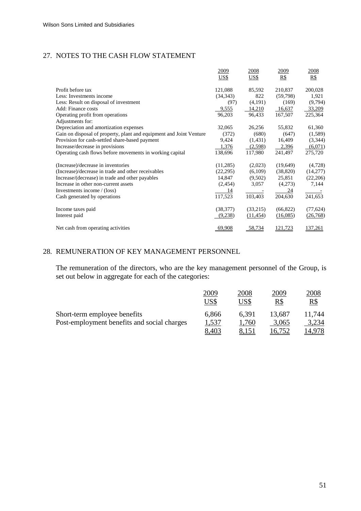# 27. NOTES TO THE CASH FLOW STATEMENT

|                                                                     | 2009        | 2008        | 2009      | 2008        |
|---------------------------------------------------------------------|-------------|-------------|-----------|-------------|
|                                                                     | <u>US\$</u> | <u>US\$</u> | $R\$      | $_{\rm RS}$ |
| Profit before tax                                                   | 121,088     | 85,592      | 210,837   | 200,028     |
| Less: Investments income                                            | (34, 343)   | 822         | (59,798)  | 1,921       |
| Less: Result on disposal of investment                              | (97)        | (4,191)     | (169)     | (9,794)     |
| Add: Finance costs                                                  | 9,555       | 14,210      | 16,637    | 33,209      |
| Operating profit from operations                                    | 96,203      | 96,433      | 167,507   | 225,364     |
| Adjustments for:                                                    |             |             |           |             |
| Depreciation and amortization expenses                              | 32,065      | 26,256      | 55,832    | 61,360      |
| Gain on disposal of property, plant and equipment and Joint Venture | (372)       | (680)       | (647)     | (1,589)     |
| Provision for cash-settled share-based payment                      | 9,424       | (1,431)     | 16,409    | (3,344)     |
| Increase/decrease in provisions                                     | 1,376       | (2,598)     | 2,396     | (6,071)     |
| Operating cash flows before movements in working capital            | 138,696     | 117,980     | 241,497   | 275,720     |
| (Increase)/decrease in inventories                                  | (11,285)    | (2,023)     | (19,649)  | (4,728)     |
| (Increase)/decrease in trade and other receivables                  | (22, 295)   | (6,109)     | (38, 820) | (14,277)    |
| Increase/(decrease) in trade and other payables                     | 14,847      | (9,502)     | 25,851    | (22,206)    |
| Increase in other non-current assets                                | (2,454)     | 3,057       | (4,273)   | 7,144       |
| Investments income / (loss)                                         | <u>14</u>   |             | 24        |             |
| Cash generated by operations                                        | 117,523     | 103,403     | 204,630   | 241,653     |
| Income taxes paid                                                   | (38, 377)   | (33,215)    | (66, 822) | (77, 624)   |
| Interest paid                                                       | (9,238)     | (11, 454)   | (16,085)  | (26,768)    |
| Net cash from operating activities                                  | 69,908      | 58,734      | 121,723   | 137,261     |

# 28. REMUNERATION OF KEY MANAGEMENT PERSONNEL

The remuneration of the directors, who are the key management personnel of the Group, is set out below in aggregate for each of the categories:

|                                             | 2009<br>US\$ | 2008<br>US\$ | 2009<br>R\$ | 2008<br>R\$ |
|---------------------------------------------|--------------|--------------|-------------|-------------|
| Short-term employee benefits                | 6,866        | 6.391        | 13,687      | 11.744      |
| Post-employment benefits and social charges | 1,537        | 1,760        | 3,065       | 3,234       |
|                                             | 8,403        |              |             |             |